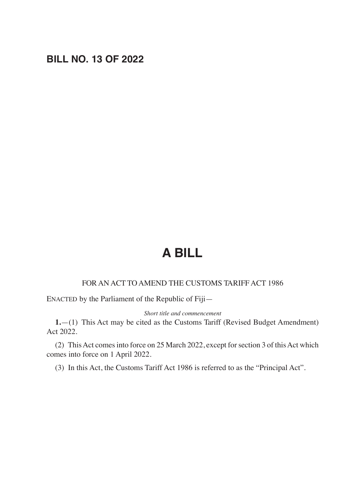# **BILL NO. 13 OF 2022**

# **A BILL**

### FOR AN ACT TO AMEND THE CUSTOMS TARIFF ACT 1986

ENACTED by the Parliament of the Republic of Fiji—

#### *Short title and commencement*

**1.**—(1) This Act may be cited as the Customs Tariff (Revised Budget Amendment) Act 2022.

(2) This Act comes into force on 25 March 2022, except for section 3 of this Act which comes into force on 1 April 2022.

(3) In this Act, the Customs Tariff Act 1986 is referred to as the "Principal Act".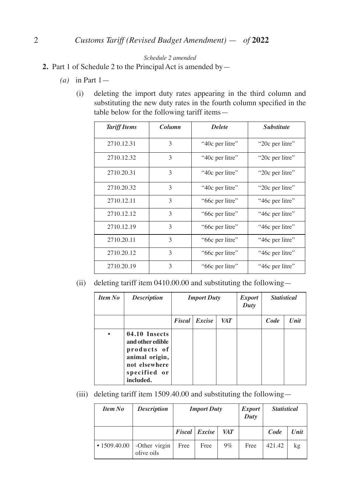#### *Schedule 2 amended*

- **2.** Part 1 of Schedule 2 to the Principal Act is amended by—
	- *(a)* in Part 1—
		- (i) deleting the import duty rates appearing in the third column and substituting the new duty rates in the fourth column specified in the table below for the following tariff items—

| <b>Tariff Items</b> | Column        | <b>Delete</b>   | <b>Substitute</b> |
|---------------------|---------------|-----------------|-------------------|
| 2710.12.31          | 3             | "40c per litre" | "20c per litre"   |
| 2710.12.32          | 3             | "40c per litre" | "20c per litre"   |
| 2710.20.31          | 3             | "40c per litre" | "20c per litre"   |
| 2710.20.32          | $\mathcal{L}$ | "40c per litre" | "20c per litre"   |
| 2710.12.11          | $\mathcal{L}$ | "66c per litre" | "46c per litre"   |
| 2710.12.12          | 3             | "66c per litre" | "46c per litre"   |
| 2710.12.19          | 3             | "66c per litre" | "46c per litre"   |
| 2710.20.11          | 3             | "66c per litre" | "46c per litre"   |
| 2710.20.12          | 3             | "66c per litre" | "46c per litre"   |
| 2710.20.19          | 3             | "66c per litre" | "46c per litre"   |

(ii) deleting tariff item 0410.00.00 and substituting the following—

| <b>Item No</b> | <b>Description</b>                                                                                               |        | <b>Import Duty</b> |            | <i>Export</i><br>Duty | <b>Statistical</b> |      |
|----------------|------------------------------------------------------------------------------------------------------------------|--------|--------------------|------------|-----------------------|--------------------|------|
|                |                                                                                                                  | Fiscal | Excise             | <b>VAT</b> |                       | Code               | Unit |
| $\bullet$      | 04.10 Insects<br>and other edible<br>products of<br>animal origin,<br>not elsewhere<br>specified or<br>included. |        |                    |            |                       |                    |      |

(iii) deleting tariff item 1509.40.00 and substituting the following—

| <b>Item No</b>     | <b>Description</b>          | <b>Import Duty</b> |                      |            | <b>Export</b><br>Duty | <i>Statistical</i> |      |
|--------------------|-----------------------------|--------------------|----------------------|------------|-----------------------|--------------------|------|
|                    |                             |                    | <b>Fiscal</b> Excise | <b>VAT</b> |                       | Code               | Unit |
| $\cdot$ 1509.40.00 | -Other virgin<br>olive oils | Free               | Free                 | $9\%$      | Free                  | 421.42             | kg   |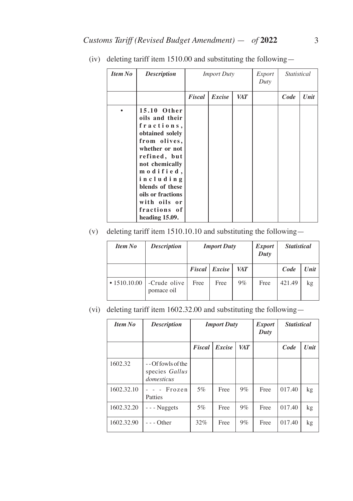| <b>Item No</b> | <b>Description</b>                                                                                                                                                                                                                                     | <i>Import Duty</i> |        |     | Export<br>Duty |      | <i>Statistical</i> |  |
|----------------|--------------------------------------------------------------------------------------------------------------------------------------------------------------------------------------------------------------------------------------------------------|--------------------|--------|-----|----------------|------|--------------------|--|
|                |                                                                                                                                                                                                                                                        | Fiscal             | Excise | VAT |                | Code | Unit               |  |
|                | 15.10 Other<br>oils and their<br>fractions,<br>obtained solely<br>from olives,<br>whether or not<br>refined, but<br>not chemically<br>modified,<br>including<br>blends of these<br>oils or fractions<br>with oils or<br>fractions of<br>heading 15.09. |                    |        |     |                |      |                    |  |

(iv) deleting tariff item 1510.00 and substituting the following—

## (v) deleting tariff item 1510.10.10 and substituting the following—

| <b>Item No</b>     | <b>Description</b>         | <b>Import Duty</b> |                      |            | <i>Export</i><br>Duty | <b>Statistical</b> |      |
|--------------------|----------------------------|--------------------|----------------------|------------|-----------------------|--------------------|------|
|                    |                            |                    | <b>Fiscal</b> Excise | <b>VAT</b> |                       | Code               | Unit |
| $\cdot$ 1510.10.00 | -Crude olive<br>pomace oil | Free               | Free                 | $9\%$      | Free                  | 421.49             | kg   |

(vi) deleting tariff item 1602.32.00 and substituting the following—

| <b>Item No</b> | <b>Description</b>                                    |        | <b>Import Duty</b> |            | <i>Export</i><br>Duty | <b>Statistical</b> |      |
|----------------|-------------------------------------------------------|--------|--------------------|------------|-----------------------|--------------------|------|
|                |                                                       | Fiscal | Excise             | <b>VAT</b> |                       | Code               | Unit |
| 1602.32        | $-$ - Of fowls of the<br>species Gallus<br>domesticus |        |                    |            |                       |                    |      |
| 1602.32.10     | $  Frozen$<br>Patties                                 | 5%     | Free               | 9%         | Free                  | 017.40             | kg   |
| 1602.32.20     | $--$ Nuggets                                          | 5%     | Free               | 9%         | Free                  | 017.40             | kg   |
| 1602.32.90     | $-$ Other                                             | 32%    | Free               | $9\%$      | Free                  | 017.40             | kg   |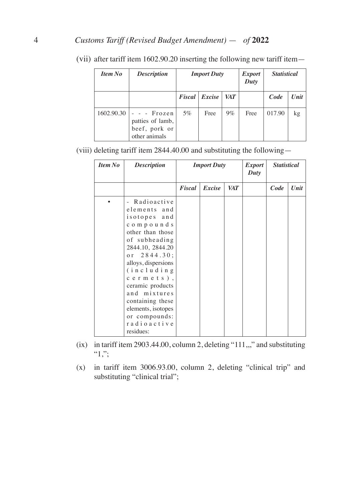## 4 *Customs Tariff (Revised Budget Amendment)* — *of* **2022**

| <b>Item No</b> | <b>Description</b>                                               | <b>Import Duty</b> |               |     | <i>Export</i><br>Duty | <b>Statistical</b> |      |
|----------------|------------------------------------------------------------------|--------------------|---------------|-----|-----------------------|--------------------|------|
|                |                                                                  |                    | Fiscal Excise | VAT |                       | Code               | Unit |
| 1602.90.30     | - - Frozen<br>patties of lamb,<br>beef, pork or<br>other animals | 5%                 | Free          | 9%  | Free                  | 017.90             | kg   |

(vii) after tariff item 1602.90.20 inserting the following new tariff item—

(viii) deleting tariff item 2844.40.00 and substituting the following—

| <b>Item No</b> | <b>Description</b>                                                                                                                                                                                                                                                                                                     | <b>Import Duty</b> |        |            | <i>Export</i><br>Duty | <b>Statistical</b> |      |
|----------------|------------------------------------------------------------------------------------------------------------------------------------------------------------------------------------------------------------------------------------------------------------------------------------------------------------------------|--------------------|--------|------------|-----------------------|--------------------|------|
|                |                                                                                                                                                                                                                                                                                                                        | Fiscal             | Excise | <b>VAT</b> |                       | Code               | Unit |
|                | Radioactive<br>elements and<br>isotopes and<br>compounds<br>other than those<br>of subheading<br>2844.10, 2844.20<br>or $2844.30$ ;<br>alloys, dispersions<br>$(in$ cluding<br>$c$ ermets),<br>ceramic products<br>and mixtures<br>containing these<br>elements, isotopes<br>or compounds:<br>radioactive<br>residues: |                    |        |            |                       |                    |      |

- (ix) in tariff item 2903.44.00, column 2, deleting "111,,," and substituting  $\lq\lq\lq\lq\lq\lq\lq\lq\lq\lq\lq\lq\lq$
- (x) in tariff item 3006.93.00, column 2, deleting "clinical trip" and substituting "clinical trial";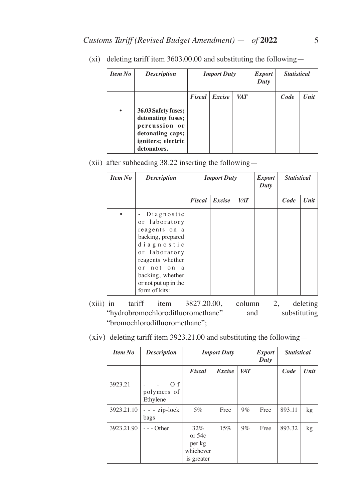| Item No | <b>Description</b>                                                                                                 | <b>Import Duty</b> |        |            | <i>Export</i><br>Duty | <b>Statistical</b> |      |
|---------|--------------------------------------------------------------------------------------------------------------------|--------------------|--------|------------|-----------------------|--------------------|------|
|         |                                                                                                                    | <b>Fiscal</b>      | Excise | <b>VAT</b> |                       | Code               | Unit |
| ٠       | 36.03 Safety fuses;<br>detonating fuses;<br>percussion or<br>detonating caps;<br>igniters; electric<br>detonators. |                    |        |            |                       |                    |      |

(xi) deleting tariff item 3603.00.00 and substituting the following—

(xii) after subheading 38.22 inserting the following—

| <b>Item No</b> | <b>Description</b>                                                                                                                                                                                 | <b>Import Duty</b> |        |     | <i>Export</i><br>Duty | <b>Statistical</b> |      |
|----------------|----------------------------------------------------------------------------------------------------------------------------------------------------------------------------------------------------|--------------------|--------|-----|-----------------------|--------------------|------|
|                |                                                                                                                                                                                                    | Fiscal             | Excise | VAT |                       | Code               | Unit |
|                | - Diagnostic<br>or laboratory<br>reagents on a<br>backing, prepared<br>diagnostic<br>or laboratory<br>reagents whether<br>or not on a<br>backing, whether<br>or not put up in the<br>form of kits: |                    |        |     |                       |                    |      |

(xiii) in tariff item 3827.20.00, column 2, deleting "hydrobromochlorodifluoromethane" and substituting "bromochlorodifluoromethane";

| <b>Item No</b> | <b>Description</b>              | <b>Import Duty</b>                                      |        |            | <b>Export</b><br>Duty | <b>Statistical</b> |      |
|----------------|---------------------------------|---------------------------------------------------------|--------|------------|-----------------------|--------------------|------|
|                |                                 | Fiscal                                                  | Excise | <b>VAT</b> |                       | Code               | Unit |
| 3923.21        | O(f)<br>polymers of<br>Ethylene |                                                         |        |            |                       |                    |      |
| 3923.21.10     | $- - zip-lock$<br>bags          | $5\%$                                                   | Free   | $9\%$      | Free                  | 893.11             | kg   |
| 3923.21.90     | $- -$ Other                     | $32\%$<br>or $54c$<br>per kg<br>whichever<br>is greater | 15%    | $9\%$      | Free                  | 893.32             | kg   |

(xiv) deleting tariff item 3923.21.00 and substituting the following—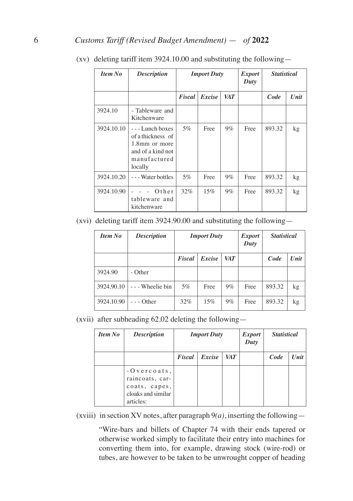| <b>Item No</b> | <b>Description</b>                                                                                     | <b>Import Duty</b> |        |            | <i>Export</i><br>Duty | <b>Statistical</b> |      |
|----------------|--------------------------------------------------------------------------------------------------------|--------------------|--------|------------|-----------------------|--------------------|------|
|                |                                                                                                        | Fiscal             | Excise | <b>VAT</b> |                       | Code               | Unit |
| 3924.10        | - Tableware and<br>Kitchenware                                                                         |                    |        |            |                       |                    |      |
| 3924.10.10     | $--$ Lunch boxes<br>of a thickness of<br>1.8mm or more<br>and of a kind not<br>manufactured<br>locally | $5\%$              | Free   | $9\%$      | Free                  | 893.32             | kg   |
| 3924.10.20     | ---Water bottles                                                                                       | 5%                 | Free   | $9\%$      | Free                  | 893.32             | kg   |
| 3924.10.90     | Other<br>tableware and<br>kitchenware                                                                  | 32%                | 15%    | $9\%$      | Free                  | 893.32             | kg   |

(xv) deleting tariff item 3924.10.00 and substituting the following—

(xvi) deleting tariff item 3924.90.00 and substituting the following—

| <b>Item No</b> | <b>Description</b> | <b>Import Duty</b> |        |       | <i>Export</i><br>Duty | <b>Statistical</b> |      |
|----------------|--------------------|--------------------|--------|-------|-----------------------|--------------------|------|
|                |                    | Fiscal             | Excise | VAT   |                       | Code               | Unit |
| 3924.90        | - Other            |                    |        |       |                       |                    |      |
| 3924.90.10     | - Wheelie bin      | 5%                 | Free   | $9\%$ | Free                  | 893.32             | kg   |
| 3924.10.90     | - Other            | 32%                | 15%    | $9\%$ | Free                  | 893.32             | kg   |

(xvii) after subheading 62.02 deleting the following—

| <b>Item No</b> | <b>Description</b>                                                                    |        | <b>Import Duty</b> |     | <i>Export</i><br>Duty | <b>Statistical</b> |      |
|----------------|---------------------------------------------------------------------------------------|--------|--------------------|-----|-----------------------|--------------------|------|
|                |                                                                                       | Fiscal | Excise             | VAT |                       | Code               | Unit |
|                | $-0$ vercoats,<br>raincoats, car-<br>coats, capes,<br>cloaks and similar<br>articles: |        |                    |     |                       |                    |      |

(xviii) in section XV notes, after paragraph  $9(a)$ , inserting the following—

"Wire-bars and billets of Chapter 74 with their ends tapered or otherwise worked simply to facilitate their entry into machines for converting them into, for example, drawing stock (wire-rod) or tubes, are however to be taken to be unwrought copper of heading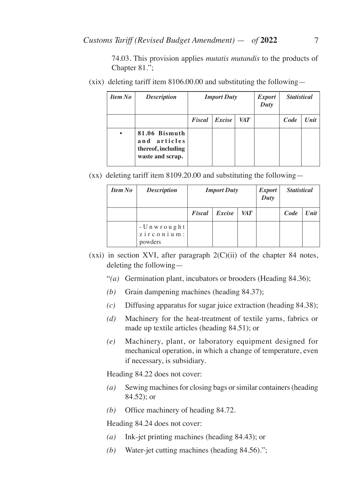74.03. This provision applies *mutatis mutandis* to the products of Chapter 81.";

(xix) deleting tariff item 8106.00.00 and substituting the following—

| <b>Item No</b> | <b>Description</b>                                                      | <b>Import Duty</b> |        |            | <i>Export</i><br>Duty | <b>Statistical</b> |      |
|----------------|-------------------------------------------------------------------------|--------------------|--------|------------|-----------------------|--------------------|------|
|                |                                                                         | Fiscal             | Excise | <b>VAT</b> |                       | Code               | Unit |
| $\bullet$      | 81.06 Bismuth<br>and articles<br>thereof, including<br>waste and scrap. |                    |        |            |                       |                    |      |

(xx) deleting tariff item 8109.20.00 and substituting the following—

| <b>Item No</b> | <b>Description</b>                                      |        | <b>Import Duty</b> |            | <b>Export</b><br>Duty | <b>Statistical</b> |      |
|----------------|---------------------------------------------------------|--------|--------------------|------------|-----------------------|--------------------|------|
|                |                                                         | Fiscal | Excise             | <i>VAT</i> |                       | Code               | Unit |
|                | - Unwrought<br>$z$ i $r$ c o $n$ i $u$ $m$ :<br>powders |        |                    |            |                       |                    |      |

- $(xxi)$  in section XVI, after paragraph  $2(C)(ii)$  of the chapter 84 notes, deleting the following—
	- "*(a)* Germination plant, incubators or brooders (Heading 84.36);
	- *(b)* Grain dampening machines (heading 84.37);
	- *(c)* Diffusing apparatus for sugar juice extraction (heading 84.38);
	- *(d)* Machinery for the heat-treatment of textile yarns, fabrics or made up textile articles (heading 84.51); or
	- *(e)* Machinery, plant, or laboratory equipment designed for mechanical operation, in which a change of temperature, even if necessary, is subsidiary.

Heading 84.22 does not cover:

- *(a)* Sewing machines for closing bags or similar containers (heading 84.52); or
- *(b)* Office machinery of heading 84.72.

Heading 84.24 does not cover:

- *(a)* Ink-jet printing machines (heading 84.43); or
- *(b)* Water-jet cutting machines (heading 84.56).";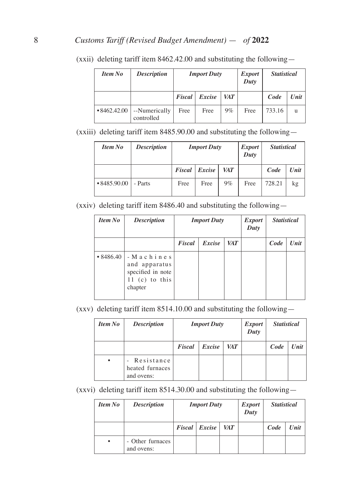| <b>Item No</b>     | <b>Description</b>          | <b>Import Duty</b> |        |            | <i>Export</i><br>Duty | <b>Statistical</b> |      |
|--------------------|-----------------------------|--------------------|--------|------------|-----------------------|--------------------|------|
|                    |                             | <b>Fiscal</b>      | Excise | <i>VAT</i> |                       | Code               | Unit |
| $\cdot 8462.42.00$ | --Numerically<br>controlled | Free               | Free   | $9\%$      | Free                  | 733.16             | u    |

(xxii) deleting tariff item 8462.42.00 and substituting the following—

(xxiii) deleting tariff item 8485.90.00 and substituting the following—

| <b>Item No</b>     | <b>Description</b> | <b>Import Duty</b> |                 |       | <b>Export</b><br>Duty | <b>Statistical</b> |      |
|--------------------|--------------------|--------------------|-----------------|-------|-----------------------|--------------------|------|
|                    |                    |                    | Fiscal   Excise | VAT   |                       | Code               | Unit |
| $\cdot 8485.90.00$ | - Parts            | Free               | Free            | $9\%$ | Free                  | 728.21             | kg   |

(xxiv) deleting tariff item 8486.40 and substituting the following—

| <b>Item No</b>  | <b>Description</b>                                                            |        | <b>Import Duty</b> |            | <i>Export</i><br>Duty | <b>Statistical</b> |      |
|-----------------|-------------------------------------------------------------------------------|--------|--------------------|------------|-----------------------|--------------------|------|
|                 |                                                                               | Fiscal | Excise             | <b>VAT</b> |                       | Code               | Unit |
| $\cdot$ 8486.40 | - Machines<br>and apparatus<br>specified in note<br>11 (c) to this<br>chapter |        |                    |            |                       |                    |      |

(xxv) deleting tariff item 8514.10.00 and substituting the following—

| <b>Item No</b> | <b>Description</b>                            |        | <b>Import Duty</b> |            | <b>Export</b><br>Duty | <b>Statistical</b> |              |
|----------------|-----------------------------------------------|--------|--------------------|------------|-----------------------|--------------------|--------------|
|                |                                               | Fiscal | Excise             | <b>VAT</b> |                       | Code               | Unit $\vert$ |
| ٠              | - Resistance<br>heated furnaces<br>and ovens: |        |                    |            |                       |                    |              |

(xxvi) deleting tariff item 8514.30.00 and substituting the following—

| <b>Item No</b> | <b>Description</b>             | <b>Import Duty</b>            |  |  | <b>Export</b><br>Duty | <b>Statistical</b> |              |
|----------------|--------------------------------|-------------------------------|--|--|-----------------------|--------------------|--------------|
|                |                                | <b>VAT</b><br>Fiscal   Excise |  |  |                       | Code               | Unit $\vert$ |
| $\bullet$      | - Other furnaces<br>and ovens: |                               |  |  |                       |                    |              |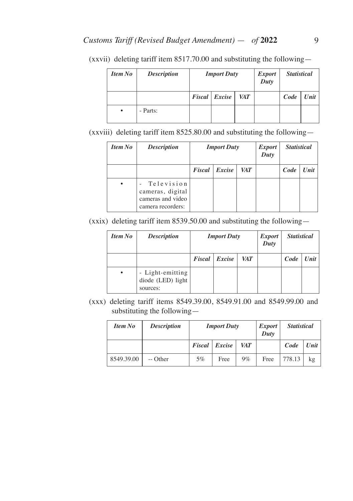| <b>Item No</b> | <b>Description</b> | <b>Import Duty</b> |            | <b>Export</b><br>Duty | <b>Statistical</b> |      |
|----------------|--------------------|--------------------|------------|-----------------------|--------------------|------|
|                |                    | Fiscal Excise      | <b>VAT</b> |                       | Code               | Unit |
| ٠              | - Parts:           |                    |            |                       |                    |      |

(xxvii) deleting tariff item 8517.70.00 and substituting the following—

(xxviii) deleting tariff item 8525.80.00 and substituting the following—

| <b>Item No</b> | <b>Description</b>                                                       |               | <b>Import Duty</b> |  | <i>Export</i><br>Duty | <b>Statistical</b> |  |
|----------------|--------------------------------------------------------------------------|---------------|--------------------|--|-----------------------|--------------------|--|
|                |                                                                          | <b>Fiscal</b> | Excise             |  | Code                  | Unit               |  |
|                | Television<br>cameras, digital<br>cameras and video<br>camera recorders: |               |                    |  |                       |                    |  |

(xxix) deleting tariff item 8539.50.00 and substituting the following—

| <b>Item No</b> | <b>Description</b>                                |        | <b>Import Duty</b> |     | <i>Export</i><br>Duty | <b>Statistical</b> |      |
|----------------|---------------------------------------------------|--------|--------------------|-----|-----------------------|--------------------|------|
|                |                                                   | Fiscal | Excise             | VAT |                       | Code               | Unit |
| $\bullet$      | - Light-emitting<br>diode (LED) light<br>sources: |        |                    |     |                       |                    |      |

(xxx) deleting tariff items 8549.39.00, 8549.91.00 and 8549.99.00 and substituting the following—

| <b>Item No</b> | <b>Description</b> | <b>Import Duty</b> |                 |            | <i>Export</i><br>Duty | <b>Statistical</b> |      |
|----------------|--------------------|--------------------|-----------------|------------|-----------------------|--------------------|------|
|                |                    |                    | Fiscal   Excise | <b>VAT</b> |                       | Code               | Unit |
| 8549.39.00     | -- Other           | 5%                 | Free            | $9\%$      | Free                  | 778.13             | kg   |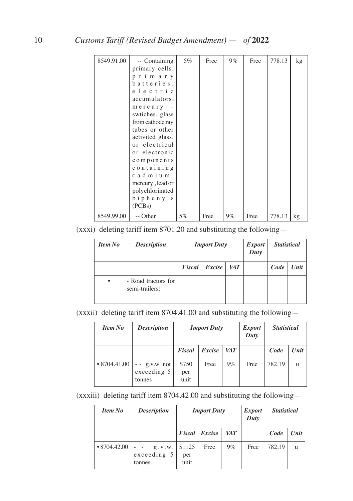| 8549.91.00 | -- Containing<br>primary cells,<br>primary<br>batteries,                                                                                                       | $5\%$ | Free | $9\%$ | Free | 778.13 | kg |
|------------|----------------------------------------------------------------------------------------------------------------------------------------------------------------|-------|------|-------|------|--------|----|
|            | electric<br>accumulators,                                                                                                                                      |       |      |       |      |        |    |
|            | mercury<br>swtiches, glass<br>from cathode ray<br>tubes or other<br>activited glass,<br>or electrical<br>or electronic<br>components<br>containing<br>cadmium, |       |      |       |      |        |    |
|            | mercury, lead or<br>polychlorinated<br>biphenyls<br>(PCBs)                                                                                                     |       |      |       |      |        |    |
| 8549.99.00 | -- Other                                                                                                                                                       | 5%    | Free | $9\%$ | Free | 778.13 | kg |

(xxxi) deleting tariff item 8701.20 and substituting the following—

| Item No   | <b>Description</b>                    | <b>Import Duty</b> |        |            | <i>Export</i><br>Duty | <b>Statistical</b> |      |
|-----------|---------------------------------------|--------------------|--------|------------|-----------------------|--------------------|------|
|           |                                       | Fiscal             | Excise | <b>VAT</b> |                       | Code               | Unit |
| $\bullet$ | - Road tractors for<br>semi-trailers: |                    |        |            |                       |                    |      |

(xxxii) deleting tariff item 8704.41.00 and substituting the following—

| <b>Item No</b>     | <b>Description</b>                      | <b>Import Duty</b>   |        |            | <i>Export</i><br>Duty | <b>Statistical</b> |      |
|--------------------|-----------------------------------------|----------------------|--------|------------|-----------------------|--------------------|------|
|                    |                                         | Fiscal               | Excise | <b>VAT</b> |                       | Code               | Unit |
| $\cdot$ 8704.41.00 | $-$ g.v.w. not<br>exceeding 5<br>tonnes | \$750<br>per<br>unit | Free   | $9\%$      | Free                  | 782.19             | u    |

(xxxiii) deleting tariff item 8704.42.00 and substituting the following—

| <b>Item No</b>     | <b>Description</b>                | <b>Import Duty</b>    |                      |            | <i>Export</i><br>Duty | <b>Statistical</b> |      |
|--------------------|-----------------------------------|-----------------------|----------------------|------------|-----------------------|--------------------|------|
|                    |                                   |                       | <b>Fiscal</b> Excise | <b>VAT</b> |                       | Code               | Unit |
| $\cdot 8704.42.00$ | g. v. w.<br>exceeding 5<br>tonnes | \$1125<br>per<br>unit | Free                 | $9\%$      | Free                  | 782.19             | u    |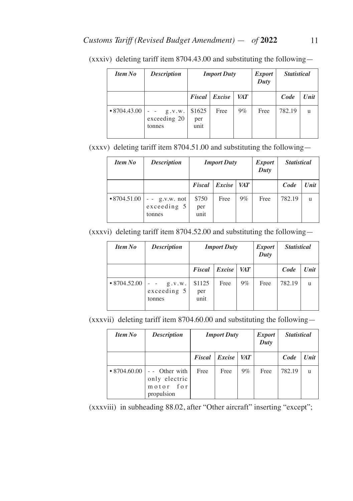| <b>Item No</b>     | <b>Description</b>                 | <b>Import Duty</b>    |                      |       | <i>Export</i><br>Duty | <b>Statistical</b> |      |
|--------------------|------------------------------------|-----------------------|----------------------|-------|-----------------------|--------------------|------|
|                    |                                    |                       | <b>Fiscal</b> Excise | VAT   |                       | Code               | Unit |
| $\cdot$ 8704.43.00 | g. v. w.<br>exceeding 20<br>tonnes | \$1625<br>per<br>unit | Free                 | $9\%$ | Free                  | 782.19             | u    |

(xxxiv) deleting tariff item 8704.43.00 and substituting the following—

(xxxv) deleting tariff item 8704.51.00 and substituting the following—

| <b>Item No</b>     | <b>Description</b><br><b>Import Duty</b> |                      | <i>Export</i><br>Duty |            | <b>Statistical</b> |        |              |
|--------------------|------------------------------------------|----------------------|-----------------------|------------|--------------------|--------|--------------|
|                    |                                          | Fiscal               | Excise                | <i>VAT</i> |                    | Code   | Unit         |
| $\cdot 8704.51.00$ | $ g.v.w.$ not<br>exceeding 5<br>tonnes   | \$750<br>per<br>unit | Free                  | $9\%$      | Free               | 782.19 | $\mathbf{u}$ |

(xxxvi) deleting tariff item 8704.52.00 and substituting the following—

| <b>Item No</b>     | <b>Description</b>                                            | <b>Import Duty</b>    |        |       | <i>Export</i><br>Duty | <b>Statistical</b> |      |
|--------------------|---------------------------------------------------------------|-----------------------|--------|-------|-----------------------|--------------------|------|
|                    |                                                               | Fiscal                | Excise | VAT   |                       | Code               | Unit |
| $\cdot$ 8704.52.00 | g. v. w.<br>$\overline{\phantom{a}}$<br>exceeding 5<br>tonnes | \$1125<br>per<br>unit | Free   | $9\%$ | Free                  | 782.19             | u    |

(xxxvii) deleting tariff item 8704.60.00 and substituting the following—

| <b>Item No</b>     | <b>Description</b>                                       | <b>Import Duty</b> |        |            | <i>Export</i><br>Duty | <b>Statistical</b> |      |
|--------------------|----------------------------------------------------------|--------------------|--------|------------|-----------------------|--------------------|------|
|                    |                                                          | Fiscal             | Excise | <b>VAT</b> |                       | Code               | Unit |
| $\cdot$ 8704.60.00 | - Other with<br>only electric<br>motor for<br>propulsion | Free               | Free   | $9\%$      | Free                  | 782.19             | u    |

(xxxviii) in subheading 88.02, after "Other aircraft" inserting "except";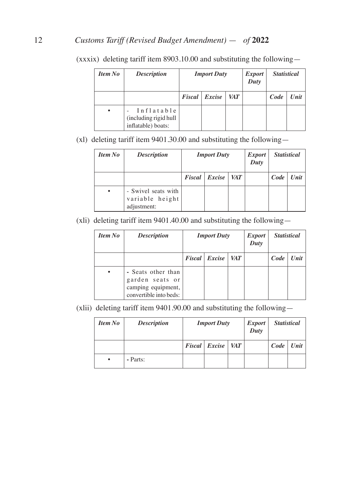| Item No   | <b>Description</b>                                        |               | <b>Import Duty</b> |            | <i>Export</i><br>Duty | <b>Statistical</b> |      |
|-----------|-----------------------------------------------------------|---------------|--------------------|------------|-----------------------|--------------------|------|
|           |                                                           | <b>Fiscal</b> | Excise             | <b>VAT</b> |                       | Code               | Unit |
| $\bullet$ | Inflatable<br>(including rigid hull<br>inflatable) boats: |               |                    |            |                       |                    |      |

(xxxix) deleting tariff item 8903.10.00 and substituting the following—

(xl) deleting tariff item 9401.30.00 and substituting the following—

| <b>Item No</b> | <b>Description</b>                                    | <b>Import Duty</b> |                 |     | <i>Export</i><br>Duty | <b>Statistical</b> |      |
|----------------|-------------------------------------------------------|--------------------|-----------------|-----|-----------------------|--------------------|------|
|                |                                                       |                    | Fiscal   Excise | VAT |                       | $Code \mid$        | Unit |
| $\bullet$      | - Swivel seats with<br>variable height<br>adjustment: |                    |                 |     |                       |                    |      |

(xli) deleting tariff item 9401.40.00 and substituting the following—

| <b>Item No</b> | <b>Description</b>                                                                    |                      | <b>Import Duty</b> |  | <i>Export</i><br>Duty | <b>Statistical</b> |      |
|----------------|---------------------------------------------------------------------------------------|----------------------|--------------------|--|-----------------------|--------------------|------|
|                |                                                                                       | VAT<br>Fiscal Excise |                    |  |                       | Code               | Unit |
| $\bullet$      | - Seats other than<br>garden seats or<br>camping equipment,<br>convertible into beds: |                      |                    |  |                       |                    |      |

(xlii) deleting tariff item 9401.90.00 and substituting the following—

| <b>Item No</b> | <b>Description</b> | <b>Import Duty</b> |                       |            | <i>Export</i><br>Duty | <b>Statistical</b> |               |
|----------------|--------------------|--------------------|-----------------------|------------|-----------------------|--------------------|---------------|
|                |                    |                    | $Fixed \mid Exercise$ | <b>VAT</b> |                       |                    | $Code$   Unit |
| $\bullet$      | - Parts:           |                    |                       |            |                       |                    |               |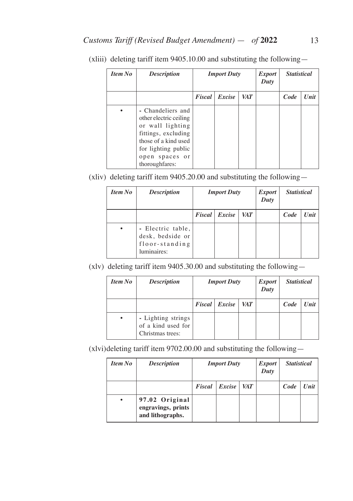| <b>Item No</b> | <b>Description</b>                                                                                                                                                        | <b>Import Duty</b> |        |            | <i>Export</i><br>Duty | <b>Statistical</b> |      |
|----------------|---------------------------------------------------------------------------------------------------------------------------------------------------------------------------|--------------------|--------|------------|-----------------------|--------------------|------|
|                |                                                                                                                                                                           | Fiscal             | Excise | <b>VAT</b> |                       | Code               | Unit |
|                | - Chandeliers and<br>other electric ceiling<br>or wall lighting<br>fittings, excluding<br>those of a kind used<br>for lighting public<br>open spaces or<br>thoroughfares: |                    |        |            |                       |                    |      |

(xliii) deleting tariff item 9405.10.00 and substituting the following—

(xliv) deleting tariff item 9405.20.00 and substituting the following—

| <b>Item No</b> | <b>Description</b>                                                     | <b>Import Duty</b> |        |     | <i>Export</i><br>Duty | <b>Statistical</b> |      |
|----------------|------------------------------------------------------------------------|--------------------|--------|-----|-----------------------|--------------------|------|
|                |                                                                        | <b>Fiscal</b>      | Excise | VAT |                       | Code               | Unit |
|                | - Electric table,<br>desk, bedside or<br>floor-standing<br>luminaires: |                    |        |     |                       |                    |      |

(xlv) deleting tariff item 9405.30.00 and substituting the following—

| <b>Item No</b> | <b>Description</b>                                           | <b>Import Duty</b> |               |            | <i>Export</i><br>Duty | <b>Statistical</b> |      |
|----------------|--------------------------------------------------------------|--------------------|---------------|------------|-----------------------|--------------------|------|
|                |                                                              |                    | Fiscal Excise | <b>VAT</b> |                       | Code               | Unit |
| ٠              | - Lighting strings<br>of a kind used for<br>Christmas trees: |                    |               |            |                       |                    |      |

(xlvi)deleting tariff item 9702.00.00 and substituting the following—

| <b>Item No</b> | <b>Description</b>                                       |        | <b>Import Duty</b> |            | <i>Export</i><br>Duty | <b>Statistical</b> |      |
|----------------|----------------------------------------------------------|--------|--------------------|------------|-----------------------|--------------------|------|
|                |                                                          | Fiscal | Excise             | <b>VAT</b> |                       | Code               | Unit |
| ٠              | 97.02 Original<br>engravings, prints<br>and lithographs. |        |                    |            |                       |                    |      |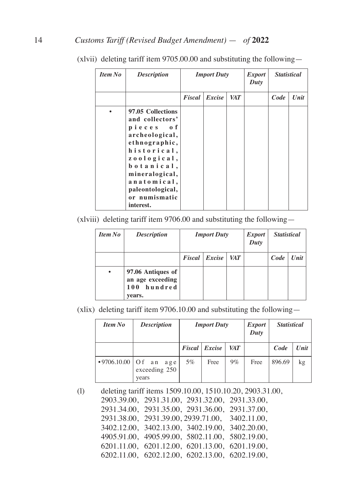| <b>Item No</b> | <b>Description</b>                                                                                                                                                                                                  | <b>Import Duty</b> |        |            | <b>Export</b><br>Duty | <b>Statistical</b> |      |
|----------------|---------------------------------------------------------------------------------------------------------------------------------------------------------------------------------------------------------------------|--------------------|--------|------------|-----------------------|--------------------|------|
|                |                                                                                                                                                                                                                     | Fiscal             | Excise | <b>VAT</b> |                       | Code               | Unit |
|                | 97.05 Collections<br>and collectors'<br>pieces of<br>archeological,<br>ethnographic,<br>historical,<br>zoological,<br>botanical,<br>mineralogical,<br>anatomical,<br>paleontological,<br>or numismatic<br>interest. |                    |        |            |                       |                    |      |

(xlvii) deleting tariff item 9705.00.00 and substituting the following—

(xlviii) deleting tariff item 9706.00 and substituting the following—

| Item No   | <b>Description</b>                                                | <b>Import Duty</b> |                 |            | <i>Export</i><br>Duty | <b>Statistical</b> |      |
|-----------|-------------------------------------------------------------------|--------------------|-----------------|------------|-----------------------|--------------------|------|
|           |                                                                   |                    | Fiscal   Excise | <b>VAT</b> |                       | Code               | Unit |
| $\bullet$ | 97.06 Antiques of<br>an age exceeding<br>hundred<br>100<br>vears. |                    |                 |            |                       |                    |      |

(xlix) deleting tariff item 9706.10.00 and substituting the following—

| <b>Item No</b>      | <b>Description</b>            | <b>Import Duty</b> |                      |       | <i>Export</i><br>Duty | <b>Statistical</b> |      |
|---------------------|-------------------------------|--------------------|----------------------|-------|-----------------------|--------------------|------|
|                     |                               |                    | <b>Fiscal</b> Excise | VAT   |                       | Code               | Unit |
| •9706.10.00   Of an | age<br>exceeding 250<br>years | $5\%$              | Free                 | $9\%$ | Free                  | 896.69             | kg   |

(l) deleting tariff items 1509.10.00, 1510.10.20, 2903.31.00, 2903.39.00, 2931.31.00, 2931.32.00, 2931.33.00, 2931.34.00, 2931.35.00, 2931.36.00, 2931.37.00, 2931.38.00, 2931.39.00, 2939.71.00, 3402.11.00, 3402.12.00, 3402.13.00, 3402.19.00, 3402.20.00, 4905.91.00, 4905.99.00, 5802.11.00, 5802.19.00, 6201.11.00, 6201.12.00, 6201.13.00, 6201.19.00, 6202.11.00, 6202.12.00, 6202.13.00, 6202.19.00,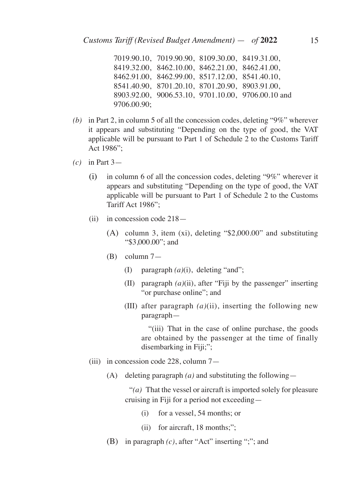7019.90.10, 7019.90.90, 8109.30.00, 8419.31.00, 8419.32.00, 8462.10.00, 8462.21.00, 8462.41.00, 8462.91.00, 8462.99.00, 8517.12.00, 8541.40.10, 8541.40.90, 8701.20.10, 8701.20.90, 8903.91.00, 8903.92.00, 9006.53.10, 9701.10.00, 9706.00.10 and 9706.00.90;

- *(b)* in Part 2, in column 5 of all the concession codes, deleting "9%" wherever it appears and substituting "Depending on the type of good, the VAT applicable will be pursuant to Part 1 of Schedule 2 to the Customs Tariff Act 1986";
- *(c)* in Part 3—
	- (i) in column 6 of all the concession codes, deleting "9%" wherever it appears and substituting "Depending on the type of good, the VAT applicable will be pursuant to Part 1 of Schedule 2 to the Customs Tariff Act 1986";
	- (ii) in concession code 218—
		- (A) column 3, item (xi), deleting "\$2,000.00" and substituting "\$3,000.00"; and
		- (B) column 7—
			- (I) paragraph *(a)*(i), deleting "and";
			- (II) paragraph *(a)*(ii), after "Fiji by the passenger" inserting "or purchase online"; and
			- (III) after paragraph *(a)*(ii), inserting the following new paragraph—

 "(iii) That in the case of online purchase, the goods are obtained by the passenger at the time of finally disembarking in Fiji;";

- (iii) in concession code 228, column 7—
	- (A) deleting paragraph *(a)* and substituting the following—

 "*(a)* That the vessel or aircraft is imported solely for pleasure cruising in Fiji for a period not exceeding—

- (i) for a vessel, 54 months; or
- (ii) for aircraft, 18 months;";
- (B) in paragraph *(c)*, after "Act" inserting ";"; and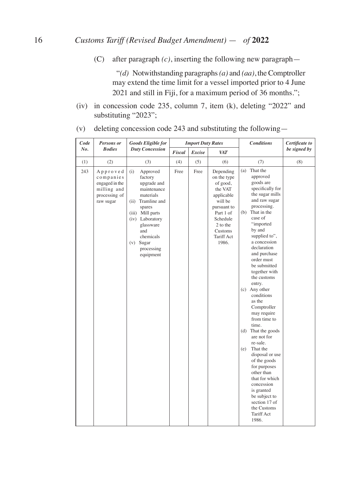(C) after paragraph *(c)*, inserting the following new paragraph—

 "*(d)* Notwithstanding paragraphs *(a)* and *(aa)*, the Comptroller may extend the time limit for a vessel imported prior to 4 June 2021 and still in Fiji, for a maximum period of 36 months.";

(iv) in concession code 235, column 7, item (k), deleting "2022" and substituting "2023";

| Code | Persons or                                                                           | <b>Goods Eligible for</b>                                                                                                                                                                                              |        | <b>Import Duty Rates</b> |                                                                                                                                                                | <b>Conditions</b>                                                                                                                                                                                                                                                                                                                                                                                                                                                                                                                                                                                                                                                          | Certificate to |
|------|--------------------------------------------------------------------------------------|------------------------------------------------------------------------------------------------------------------------------------------------------------------------------------------------------------------------|--------|--------------------------|----------------------------------------------------------------------------------------------------------------------------------------------------------------|----------------------------------------------------------------------------------------------------------------------------------------------------------------------------------------------------------------------------------------------------------------------------------------------------------------------------------------------------------------------------------------------------------------------------------------------------------------------------------------------------------------------------------------------------------------------------------------------------------------------------------------------------------------------------|----------------|
| No.  | <b>Bodies</b>                                                                        | <b>Duty Concession</b>                                                                                                                                                                                                 | Fiscal | Excise                   | <b>VAT</b>                                                                                                                                                     |                                                                                                                                                                                                                                                                                                                                                                                                                                                                                                                                                                                                                                                                            | be signed by   |
| (1)  | (2)                                                                                  | (3)                                                                                                                                                                                                                    | (4)    | (5)                      | (6)                                                                                                                                                            | (7)                                                                                                                                                                                                                                                                                                                                                                                                                                                                                                                                                                                                                                                                        | (8)            |
| 243  | Approved<br>companies<br>engaged in the<br>milling and<br>processing of<br>raw sugar | (i)<br>Approved<br>factory<br>upgrade and<br>maintenance<br>materials<br>(ii) Tramline and<br>spares<br>(iii) Mill parts<br>(iv) Laboratory<br>glassware<br>and<br>chemicals<br>$(v)$ Sugar<br>processing<br>equipment | Free   | Free                     | Depending<br>on the type<br>of good,<br>the VAT<br>applicable<br>will be<br>pursuant to<br>Part 1 of<br>Schedule<br>2 to the<br>Customs<br>Tariff Act<br>1986. | That the<br>(a)<br>approved<br>goods are<br>specifically for<br>the sugar mills<br>and raw sugar<br>processing.<br>That in the<br>(b)<br>case of<br>"imported<br>by and<br>supplied to",<br>a concession<br>declaration<br>and purchase<br>order must<br>be submitted<br>together with<br>the customs<br>entry.<br>(c) Any other<br>conditions<br>as the<br>Comptroller<br>may require<br>from time to<br>time.<br>(d) That the goods<br>are not for<br>re-sale.<br>That the<br>(e)<br>disposal or use<br>of the goods<br>for purposes<br>other than<br>that for which<br>concession<br>is granted<br>be subject to<br>section 17 of<br>the Customs<br>Tariff Act<br>1986. |                |

(v) deleting concession code 243 and substituting the following—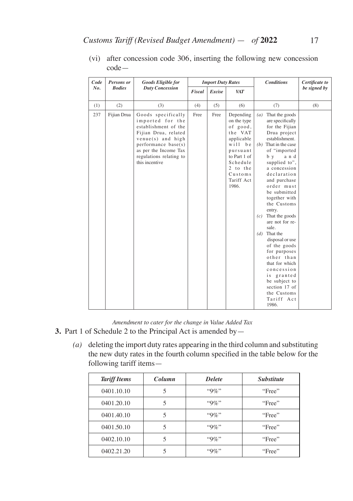| Code | Persons or    | <b>Goods Eligible for</b>                                                                                                                                                                                      |        | <b>Import Duty Rates</b> |                                                                                                                                                                     | <b>Conditions</b>                                                                                                                                                                                                                                                                                                                                                                                                                                                                                                                                            | Certificate to |
|------|---------------|----------------------------------------------------------------------------------------------------------------------------------------------------------------------------------------------------------------|--------|--------------------------|---------------------------------------------------------------------------------------------------------------------------------------------------------------------|--------------------------------------------------------------------------------------------------------------------------------------------------------------------------------------------------------------------------------------------------------------------------------------------------------------------------------------------------------------------------------------------------------------------------------------------------------------------------------------------------------------------------------------------------------------|----------------|
| No.  | <b>Bodies</b> | <b>Duty Concession</b>                                                                                                                                                                                         | Fiscal | Excise                   | VAT                                                                                                                                                                 |                                                                                                                                                                                                                                                                                                                                                                                                                                                                                                                                                              | be signed by   |
| (1)  | (2)           | (3)                                                                                                                                                                                                            | (4)    | (5)                      | (6)                                                                                                                                                                 | (7)                                                                                                                                                                                                                                                                                                                                                                                                                                                                                                                                                          | (8)            |
| 237  | Fijian Drua   | Goods specifically<br>imported for the<br>establishment of the<br>Fijian Drua, related<br>$v$ enue $(s)$ and high<br>performance base(s)<br>as per the Income Tax<br>regulations relating to<br>this incentive | Free   | Free                     | Depending<br>on the type<br>of good,<br>the VAT<br>applicable<br>$with$ be<br>pursuant<br>to Part 1 of<br>Schedule<br>2 to the<br>$C$ ustoms<br>Tariff Act<br>1986. | That the goods<br>(a)<br>are specifically<br>for the Fijian<br>Drua project<br>establishment.<br>$(b)$ That in the case<br>of "imported<br>b y<br>and<br>supplied to",<br>a concession<br>declaration<br>and purchase<br>order must<br>be submitted<br>together with<br>the Customs<br>entry.<br>That the goods<br>(c)<br>are not for re-<br>sale.<br>That the<br>(d)<br>disposal or use<br>of the goods<br>for purposes<br>other than<br>that for which<br>concession<br>is granted<br>be subject to<br>section 17 of<br>the Customs<br>Tariff Act<br>1986. |                |

(vi) after concession code 306, inserting the following new concession code—

*Amendment to cater for the change in Value Added Tax*

- **3.** Part 1 of Schedule 2 to the Principal Act is amended by—
	- *(a)* deleting the import duty rates appearing in the third column and substituting the new duty rates in the fourth column specified in the table below for the following tariff items—

| <b>Tariff Items</b> | Column | <b>Delete</b> | <b>Substitute</b> |
|---------------------|--------|---------------|-------------------|
| 0401.10.10          | 5      | $"9\%"$       | "Free"            |
| 0401.20.10          |        | $"9\%"$       | "Free"            |
| 0401.40.10          |        | $"9\%"$       | "Free"            |
| 0401.50.10          |        | $``9\%"$      | "Free"            |
| 0402.10.10          |        | $``9\%"$      | "Free"            |
| 0402.21.20          |        | $"9\%"$       | "Free"            |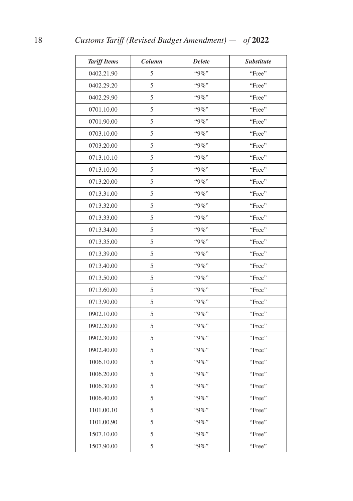| <b>Tariff Items</b> | Column | <b>Delete</b> | <b>Substitute</b> |
|---------------------|--------|---------------|-------------------|
| 0402.21.90          | 5      | $``9\%"$      | "Free"            |
| 0402.29.20          | 5      | $"9\%"$       | "Free"            |
| 0402.29.90          | 5      | "9%"          | "Free"            |
| 0701.10.00          | 5      | "9%"          | "Free"            |
| 0701.90.00          | 5      | $``9\%"$      | "Free"            |
| 0703.10.00          | 5      | $``9\%"$      | "Free"            |
| 0703.20.00          | 5      | "9%"          | "Free"            |
| 0713.10.10          | 5      | "9%"          | "Free"            |
| 0713.10.90          | 5      | $"9\%"$       | "Free"            |
| 0713.20.00          | 5      | "9%"          | "Free"            |
| 0713.31.00          | 5      | $``9\%"$      | "Free"            |
| 0713.32.00          | 5      | $"9\%"$       | "Free"            |
| 0713.33.00          | 5      | "9%"          | "Free"            |
| 0713.34.00          | 5      | "9%"          | "Free"            |
| 0713.35.00          | 5      | "9%"          | "Free"            |
| 0713.39.00          | 5      | "9%"          | "Free"            |
| 0713.40.00          | 5      | "9%"          | "Free"            |
| 0713.50.00          | 5      | "9%"          | "Free"            |
| 0713.60.00          | 5      | $"9\%"$       | "Free"            |
| 0713.90.00          | 5      | "9%"          | "Free"            |
| 0902.10.00          | 5      | $"9\%"$       | "Free"            |
| 0902.20.00          | 5      | $"9\%"$       | "Free"            |
| 0902.30.00          | 5      | "9%"          | "Free"            |
| 0902.40.00          | 5      | "9%"          | "Free"            |
| 1006.10.00          | 5      | "9%"          | "Free"            |
| 1006.20.00          | 5      | "9%"          | "Free"            |
| 1006.30.00          | 5      | $``9\%"$      | "Free"            |
| 1006.40.00          | 5      | "9%"          | "Free"            |
| 1101.00.10          | 5      | $``9\%"$      | "Free"            |
| 1101.00.90          | 5      | $``9\%"$      | "Free"            |
| 1507.10.00          | 5      | "9%"          | "Free"            |
| 1507.90.00          | 5      | "9%"          | "Free"            |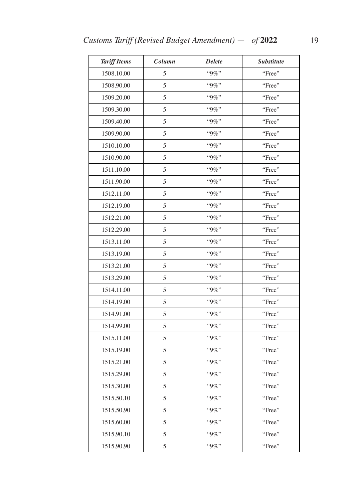| <b>Tariff Items</b> | Column | <b>Delete</b> | Substitute |
|---------------------|--------|---------------|------------|
| 1508.10.00          | 5      | "9%"          | "Free"     |
| 1508.90.00          | 5      | "9%"          | "Free"     |
| 1509.20.00          | 5      | "9%"          | "Free"     |
| 1509.30.00          | 5      | $"9\%"$       | "Free"     |
| 1509.40.00          | 5      | $"9\%"$       | "Free"     |
| 1509.90.00          | 5      | "9%"          | "Free"     |
| 1510.10.00          | 5      | "9%"          | "Free"     |
| 1510.90.00          | 5      | "9%"          | "Free"     |
| 1511.10.00          | 5      | "9%"          | "Free"     |
| 1511.90.00          | 5      | $"9\%"$       | "Free"     |
| 1512.11.00          | 5      | "9%"          | "Free"     |
| 1512.19.00          | 5      | "9%"          | "Free"     |
| 1512.21.00          | 5      | "9%"          | "Free"     |
| 1512.29.00          | 5      | $"9\%"$       | "Free"     |
| 1513.11.00          | 5      | "9%"          | "Free"     |
| 1513.19.00          | 5      | $"9\%"$       | "Free"     |
| 1513.21.00          | 5      | "9%"          | "Free"     |
| 1513.29.00          | 5      | "9%"          | "Free"     |
| 1514.11.00          | 5      | "9%"          | "Free"     |
| 1514.19.00          | 5      | "9%"          | "Free"     |
| 1514.91.00          | 5      | "9%"          | "Free"     |
| 1514.99.00          | 5      | $"9\%"$       | "Free"     |
| 1515.11.00          | 5      | "9%"          | "Free"     |
| 1515.19.00          | 5      | "9%"          | "Free"     |
| 1515.21.00          | 5      | "9%"          | "Free"     |
| 1515.29.00          | 5      | "9%"          | "Free"     |
| 1515.30.00          | 5      | "9%"          | "Free"     |
| 1515.50.10          | 5      | $``9\%"$      | "Free"     |
| 1515.50.90          | 5      | "9%"          | "Free"     |
| 1515.60.00          | 5      | "9%"          | "Free"     |
| 1515.90.10          | 5      | "9%"          | "Free"     |
| 1515.90.90          | 5      | "9%"          | "Free"     |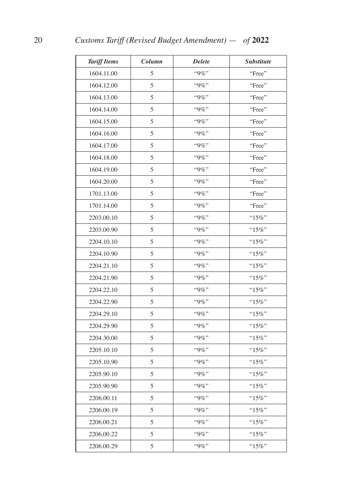| <b>Tariff Items</b> | Column | <b>Delete</b> | <b>Substitute</b> |
|---------------------|--------|---------------|-------------------|
| 1604.11.00          | 5      | "9%"          | "Free"            |
| 1604.12.00          | 5      | $"9\%"$       | "Free"            |
| 1604.13.00          | 5      | $"9\%"$       | "Free"            |
| 1604.14.00          | 5      | "9%"          | "Free"            |
| 1604.15.00          | 5      | "9%"          | "Free"            |
| 1604.16.00          | 5      | "9%"          | "Free"            |
| 1604.17.00          | 5      | "9%"          | "Free"            |
| 1604.18.00          | 5      | "9%"          | "Free"            |
| 1604.19.00          | 5      | $"9\%"$       | "Free"            |
| 1604.20.00          | 5      | "9%"          | "Free"            |
| 1701.13.00          | 5      | "9%"          | "Free"            |
| 1701.14.00          | 5      | $"9\%"$       | "Free"            |
| 2203.00.10          | 5      | "9%"          | " $15\%$ "        |
| 2203.00.90          | 5      | "9%"          | "15%"             |
| 2204.10.10          | 5      | "9%"          | "15%"             |
| 2204.10.90          | 5      | "9%"          | $"15\%"$          |
| 2204.21.10          | 5      | "9%"          | " $15\%$ "        |
| 2204.21.90          | 5      | "9%"          | "15%"             |
| 2204.22.10          | 5      | $"9\%"$       | " $15\%$ "        |
| 2204.22.90          | 5      | "9%"          | "15%"             |
| 2204.29.10          | 5      | $"9\%"$       | " $15\%$ "        |
| 2204.29.90          | 5      | $"9\%"$       | " $15\%$ "        |
| 2204.30.00          | 5      | "9%"          | "15%"             |
| 2205.10.10          | 5      | "9%"          | "15%"             |
| 2205.10.90          | 5      | "9%"          | " $15\%$ "        |
| 2205.90.10          | 5      | "9%"          | $"15\%"$          |
| 2205.90.90          | 5      | "9%"          | " $15\%$ "        |
| 2206.00.11          | 5      | "9%"          | " $15\%$ "        |
| 2206.00.19          | 5      | "9%"          | " $15\%$ "        |
| 2206.00.21          | 5      | $"9\%"$       | " $15\%$ "        |
| 2206.00.22          | 5      | "9%"          | " $15\%$ "        |
| 2206.00.29          | 5      | "9%"          | " $15\%$ "        |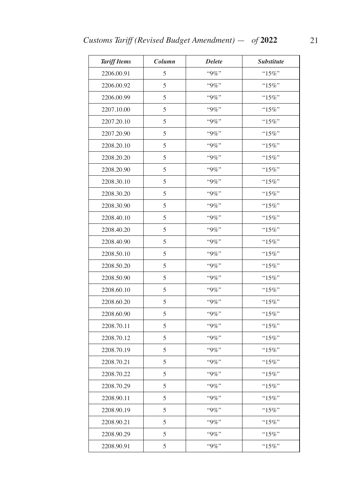| <b>Tariff Items</b> | Column | <b>Delete</b> | <b>Substitute</b> |
|---------------------|--------|---------------|-------------------|
| 2206.00.91          | 5      | "9%"          | "15%"             |
| 2206.00.92          | 5      | $``9\%"$      | " $15\%$ "        |
| 2206.00.99          | 5      | "9%"          | " $15\%$ "        |
| 2207.10.00          | 5      | "9%"          | " $15\%$ "        |
| 2207.20.10          | 5      | $"9\%"$       | "15%"             |
| 2207.20.90          | 5      | "9%"          | $"15\%"$          |
| 2208.20.10          | 5      | $"9\%"$       | " $15\%$ "        |
| 2208.20.20          | 5      | $"9\%"$       | "15%"             |
| 2208.20.90          | 5      | $"9\%"$       | " $15\%$ "        |
| 2208.30.10          | 5      | "9%"          | "15%"             |
| 2208.30.20          | 5      | "9%"          | "15%"             |
| 2208.30.90          | 5      | "9%"          | " $15\%$ "        |
| 2208.40.10          | 5      | $``9\%"$      | $"15\%"$          |
| 2208.40.20          | 5      | "9%"          | " $15\%$ "        |
| 2208.40.90          | 5      | "9%"          | "15%"             |
| 2208.50.10          | 5      | "9%"          | " $15\%$ "        |
| 2208.50.20          | 5      | $"9\%"$       | "15%"             |
| 2208.50.90          | 5      | "9%"          | $"15\%"$          |
| 2208.60.10          | 5      | "9%"          | " $15\%$ "        |
| 2208.60.20          | 5      | $"9\%"$       | " $15\%$ "        |
| 2208.60.90          | 5      | $"9\%"$       | " $15\%$ "        |
| 2208.70.11          | 5      | "9%"          | " $15\%$ "        |
| 2208.70.12          | 5      | "9%"          | " $15\%$ "        |
| 2208.70.19          | 5      | "9%"          | " $15\%$ "        |
| 2208.70.21          | 5      | "9%"          | " $15\%$ "        |
| 2208.70.22          | 5      | "9%"          | "15%"             |
| 2208.70.29          | 5      | "9%"          | " $15\%$ "        |
| 2208.90.11          | 5      | $"9\%"$       | "15%"             |
| 2208.90.19          | 5      | $``9\%"$      | " $15\%$ "        |
| 2208.90.21          | 5      | $"9\%"$       | " $15\%$ "        |
| 2208.90.29          | 5      | "9%"          | " $15\%$ "        |
| 2208.90.91          | 5      | $"9\%"$       | " $15\%$ "        |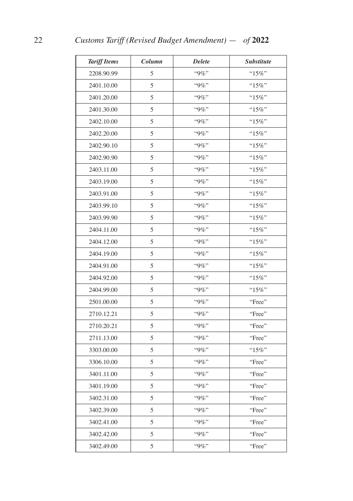| <b>Tariff Items</b> | Column | <b>Delete</b> | <b>Substitute</b> |
|---------------------|--------|---------------|-------------------|
| 2208.90.99          | 5      | $``9\%"$      | "15%"             |
| 2401.10.00          | 5      | $"9\%"$       | " $15\%$ "        |
| 2401.20.00          | 5      | $"9\%"$       | " $15\%$ "        |
| 2401.30.00          | 5      | "9%"          | " $15\%$ "        |
| 2402.10.00          | 5      | "9%"          | "15%"             |
| 2402.20.00          | 5      | "9%"          | " $15\%$ "        |
| 2402.90.10          | 5      | "9%"          | " $15\%$ "        |
| 2402.90.90          | 5      | $"9\%"$       | "15%"             |
| 2403.11.00          | 5      | $"9\%"$       | " $15\%$ "        |
| 2403.19.00          | 5      | "9%"          | " $15\%$ "        |
| 2403.91.00          | 5      | $``9\%"$      | "15%"             |
| 2403.99.10          | 5      | $"9\%"$       | " $15\%$ "        |
| 2403.99.90          | 5      | "9%"          | " $15\%$ "        |
| 2404.11.00          | 5      | $"9\%"$       | " $15\%$ "        |
| 2404.12.00          | 5      | "9%"          | "15%"             |
| 2404.19.00          | 5      | "9%"          | " $15\%$ "        |
| 2404.91.00          | 5      | "9%"          | "15%"             |
| 2404.92.00          | 5      | $"9\%"$       | "15%"             |
| 2404.99.00          | 5      | $"9\%"$       | " $15\%$ "        |
| 2501.00.00          | 5      | "9%"          | "Free"            |
| 2710.12.21          | 5      | $"9\%"$       | "Free"            |
| 2710.20.21          | 5      | $"9\%"$       | "Free"            |
| 2711.13.00          | 5      | $``9\%"$      | "Free"            |
| 3303.00.00          | 5      | "9%"          | " $15\%$ "        |
| 3306.10.00          | 5      | $"9\%"$       | "Free"            |
| 3401.11.00          | 5      | "9%"          | "Free"            |
| 3401.19.00          | 5      | $"9\%"$       | "Free"            |
| 3402.31.00          | 5      | "9%"          | "Free"            |
| 3402.39.00          | 5      | "9%"          | "Free"            |
| 3402.41.00          | 5      | "9%"          | "Free"            |
| 3402.42.00          | 5      | $"9\%"$       | "Free"            |
| 3402.49.00          | 5      | "9%"          | "Free"            |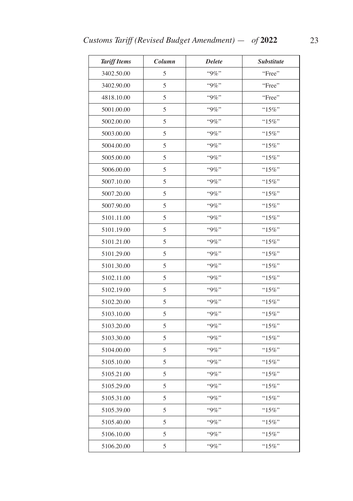| <b>Tariff Items</b> | Column | <b>Delete</b> | <b>Substitute</b> |
|---------------------|--------|---------------|-------------------|
| 3402.50.00          | 5      | "9%"          | "Free"            |
| 3402.90.00          | 5      | $"9\%"$       | "Free"            |
| 4818.10.00          | 5      | "9%"          | "Free"            |
| 5001.00.00          | 5      | $"9\%"$       | " $15\%$ "        |
| 5002.00.00          | 5      | "9%"          | " $15\%$ "        |
| 5003.00.00          | 5      | "9%"          | " $15\%$ "        |
| 5004.00.00          | 5      | $"9\%"$       | " $15\%$ "        |
| 5005.00.00          | 5      | "9%"          | " $15\%$ "        |
| 5006.00.00          | 5      | $"9\%"$       | " $15\%$ "        |
| 5007.10.00          | 5      | $"9\%"$       | "15%"             |
| 5007.20.00          | 5      | "9%"          | "15%"             |
| 5007.90.00          | 5      | $"9\%"$       | "15%"             |
| 5101.11.00          | 5      | "9%"          | "15%"             |
| 5101.19.00          | 5      | $"9\%"$       | " $15\%$ "        |
| 5101.21.00          | 5      | $"9\%"$       | "15%"             |
| 5101.29.00          | 5      | $"9\%"$       | " $15\%$ "        |
| 5101.30.00          | 5      | $"9\%"$       | " $15\%$ "        |
| 5102.11.00          | 5      | "9%"          | " $15\%$ "        |
| 5102.19.00          | 5      | $"9\%"$       | " $15\%$ "        |
| 5102.20.00          | 5      | "9%"          | "15%"             |
| 5103.10.00          | 5      | $"9\%"$       | " $15\%$ "        |
| 5103.20.00          | 5      | $"9\%"$       | " $15\%$ "        |
| 5103.30.00          | 5      | "9%"          | "15%"             |
| 5104.00.00          | 5      | "9%"          | " $15\%$ "        |
| 5105.10.00          | 5      | $"9\%"$       | " $15\%$ "        |
| 5105.21.00          | 5      | "9%"          | $"15\%"$          |
| 5105.29.00          | 5      | "9%"          | "15%"             |
| 5105.31.00          | 5      | "9%"          | "15%"             |
| 5105.39.00          | 5      | "9%"          | "15%"             |
| 5105.40.00          | 5      | "9%"          | " $15\%$ "        |
| 5106.10.00          | 5      | "9%"          | "15%"             |
| 5106.20.00          | 5      | "9%"          | " $15\%$ "        |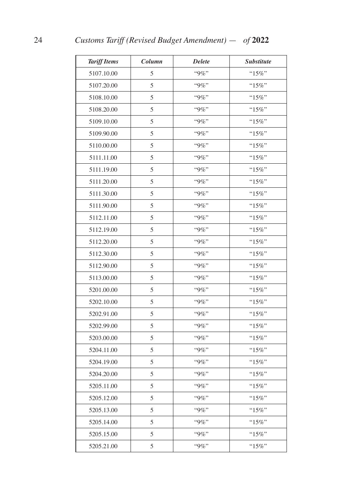| <b>Tariff Items</b> | Column | <b>Delete</b> | <b>Substitute</b> |
|---------------------|--------|---------------|-------------------|
| 5107.10.00          | 5      | "9%"          | "15%"             |
| 5107.20.00          | 5      | "9%"          | "15%"             |
| 5108.10.00          | 5      | $"9\%"$       | " $15\%$ "        |
| 5108.20.00          | 5      | "9%"          | " $15\%$ "        |
| 5109.10.00          | 5      | "9%"          | " $15\%$ "        |
| 5109.90.00          | 5      | $"9\%"$       | " $15\%$ "        |
| 5110.00.00          | 5      | "9%"          | " $15\%$ "        |
| 5111.11.00          | 5      | $"9\%"$       | "15%"             |
| 5111.19.00          | 5      | $"9\%"$       | $``15\%"$         |
| 5111.20.00          | 5      | "9%"          | $"15\%"$          |
| 5111.30.00          | 5      | $``9\%"$      | "15%"             |
| 5111.90.00          | 5      | $"9\%"$       | " $15\%$ "        |
| 5112.11.00          | 5      | "9%"          | " $15\%$ "        |
| 5112.19.00          | 5      | "9%"          | " $15\%$ "        |
| 5112.20.00          | 5      | "9%"          | "15%"             |
| 5112.30.00          | 5      | "9%"          | $"15\%"$          |
| 5112.90.00          | 5      | "9%"          | " $15\%$ "        |
| 5113.00.00          | 5      | $"9\%"$       | "15%"             |
| 5201.00.00          | 5      | $"9\%"$       | " $15\%$ "        |
| 5202.10.00          | 5      | "9%"          | "15%"             |
| 5202.91.00          | 5      | $"9\%"$       | "15%"             |
| 5202.99.00          | 5      | $"9\%"$       | " $15\%$ "        |
| 5203.00.00          | 5      | $``9\%"$      | "15%"             |
| 5204.11.00          | 5      | "9%"          | "15%"             |
| 5204.19.00          | 5      | $"9\%"$       | " $15\%$ "        |
| 5204.20.00          | 5      | "9%"          | " $15\%$ "        |
| 5205.11.00          | 5      | $"9\%"$       | " $15\%$ "        |
| 5205.12.00          | 5      | "9%"          | " $15\%$ "        |
| 5205.13.00          | 5      | $``9\%"$      | " $15\%$ "        |
| 5205.14.00          | 5      | "9%"          | " $15\%$ "        |
| 5205.15.00          | 5      | "9%"          | " $15\%$ "        |
| 5205.21.00          | 5      | $"9\%"$       | " $15\%$ "        |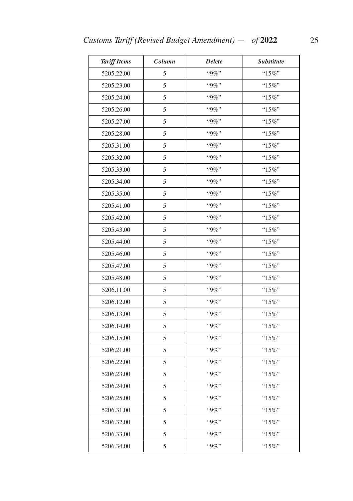| <b>Tariff Items</b> | Column | <b>Delete</b> | <b>Substitute</b> |
|---------------------|--------|---------------|-------------------|
| 5205.22.00          | 5      | "9%"          | "15%"             |
| 5205.23.00          | 5      | $"9\%"$       | " $15\%$ "        |
| 5205.24.00          | 5      | "9%"          | "15%"             |
| 5205.26.00          | 5      | $"9\%"$       | " $15\%$ "        |
| 5205.27.00          | 5      | "9%"          | " $15\%$ "        |
| 5205.28.00          | 5      | "9%"          | " $15\%$ "        |
| 5205.31.00          | 5      | $"9\%"$       | " $15\%$ "        |
| 5205.32.00          | 5      | "9%"          | " $15\%$ "        |
| 5205.33.00          | 5      | $"9\%"$       | " $15\%$ "        |
| 5205.34.00          | 5      | $"9\%"$       | "15%"             |
| 5205.35.00          | 5      | "9%"          | "15%"             |
| 5205.41.00          | 5      | "9%"          | "15%"             |
| 5205.42.00          | 5      | $"9\%"$       | " $15\%$ "        |
| 5205.43.00          | 5      | "9%"          | " $15\%$ "        |
| 5205.44.00          | 5      | "9%"          | "15%"             |
| 5205.46.00          | 5      | $"9\%"$       | " $15\%$ "        |
| 5205.47.00          | 5      | $"9\%"$       | " $15\%$ "        |
| 5205.48.00          | 5      | "9%"          | " $15\%$ "        |
| 5206.11.00          | 5      | $"9\%"$       | " $15\%$ "        |
| 5206.12.00          | 5      | "9%"          | " $15\%$ "        |
| 5206.13.00          | 5      | $"9\%"$       | " $15\%$ "        |
| 5206.14.00          | 5      | $"9\%"$       | " $15\%$ "        |
| 5206.15.00          | 5      | $"9\%"$       | "15%"             |
| 5206.21.00          | 5      | "9%"          | " $15\%$ "        |
| 5206.22.00          | 5      | "9%"          | " $15\%$ "        |
| 5206.23.00          | 5      | "9%"          | $"15\%"$          |
| 5206.24.00          | 5      | "9%"          | "15%"             |
| 5206.25.00          | 5      | "9%"          | "15%"             |
| 5206.31.00          | 5      | "9%"          | "15%"             |
| 5206.32.00          | 5      | "9%"          | " $15\%$ "        |
| 5206.33.00          | 5      | "9%"          | "15%"             |
| 5206.34.00          | 5      | "9%"          | " $15\%$ "        |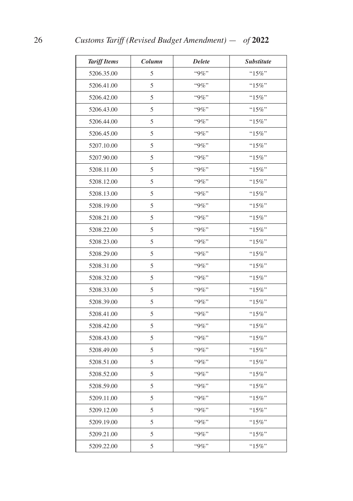| <b>Tariff Items</b> | Column | <b>Delete</b> | <b>Substitute</b> |
|---------------------|--------|---------------|-------------------|
| 5206.35.00          | 5      | "9%"          | " $15\%$ "        |
| 5206.41.00          | 5      | "9%"          | " $15\%$ "        |
| 5206.42.00          | 5      | "9%"          | "15%"             |
| 5206.43.00          | 5      | "9%"          | " $15\%$ "        |
| 5206.44.00          | 5      | $"9\%"$       | " $15\%$ "        |
| 5206.45.00          | 5      | "9%"          | "15%"             |
| 5207.10.00          | 5      | "9%"          | " $15\%$ "        |
| 5207.90.00          | 5      | "9%"          | "15%"             |
| 5208.11.00          | 5      | "9%"          | "15%"             |
| 5208.12.00          | 5      | $"9\%"$       | $"15\%"$          |
| 5208.13.00          | 5      | "9%"          | $"15\%"$          |
| 5208.19.00          | 5      | $"9\%"$       | " $15\%$ "        |
| 5208.21.00          | 5      | "9%"          | "15%"             |
| 5208.22.00          | 5      | $"9\%"$       | " $15\%$ "        |
| 5208.23.00          | 5      | $"9\%"$       | "15%"             |
| 5208.29.00          | 5      | "9%"          | "15%"             |
| 5208.31.00          | 5      | "9%"          | $"15\%"$          |
| 5208.32.00          | 5      | "9%"          | "15%"             |
| 5208.33.00          | 5      | "9%"          | " $15\%$ "        |
| 5208.39.00          | 5      | "9%"          | "15%"             |
| 5208.41.00          | 5      | $"9\%"$       | "15%"             |
| 5208.42.00          | 5      | $"9\%"$       | $"15\%"$          |
| 5208.43.00          | 5      | "9%"          | "15%"             |
| 5208.49.00          | 5      | "9%"          | " $15\%$ "        |
| 5208.51.00          | 5      | "9%"          | " $15\%$ "        |
| 5208.52.00          | 5      | "9%"          | $"15\%"$          |
| 5208.59.00          | 5      | "9%"          | " $15\%$ "        |
| 5209.11.00          | 5      | "9%"          | " $15\%$ "        |
| 5209.12.00          | 5      | $``9\%"$      | "15%"             |
| 5209.19.00          | 5      | "9%"          | " $15\%$ "        |
| 5209.21.00          | 5      | "9%"          | $"15\%"$          |
| 5209.22.00          | 5      | $"9\%"$       | " $15\%$ "        |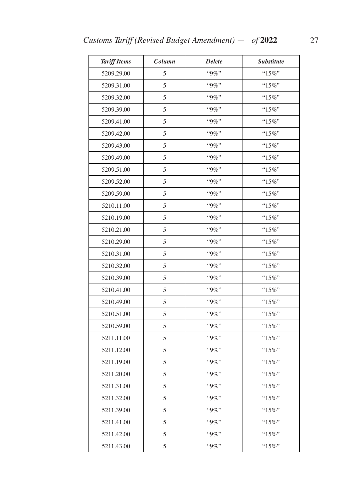| <b>Tariff Items</b> | Column | <b>Delete</b> | <b>Substitute</b> |
|---------------------|--------|---------------|-------------------|
| 5209.29.00          | 5      | "9%"          | " $15\%$ "        |
| 5209.31.00          | 5      | "9%"          | " $15\%$ "        |
| 5209.32.00          | 5      | "9%"          | " $15\%$ "        |
| 5209.39.00          | 5      | $"9\%"$       | " $15\%$ "        |
| 5209.41.00          | 5      | $"9\%"$       | "15%"             |
| 5209.42.00          | 5      | $``9\%"$      | $"15\%"$          |
| 5209.43.00          | 5      | $"9\%"$       | " $15\%$ "        |
| 5209.49.00          | 5      | $"9\%"$       | "15%"             |
| 5209.51.00          | 5      | $"9\%"$       | " $15\%$ "        |
| 5209.52.00          | 5      | "9%"          | "15%"             |
| 5209.59.00          | 5      | $"9\%"$       | " $15\%$ "        |
| 5210.11.00          | 5      | $"9\%"$       | " $15\%$ "        |
| 5210.19.00          | 5      | $"9\%"$       | "15%"             |
| 5210.21.00          | 5      | $"9\%"$       | "15%"             |
| 5210.29.00          | 5      | "9%"          | "15%"             |
| 5210.31.00          | 5      | $"9\%"$       | "15%"             |
| 5210.32.00          | 5      | $"9\%"$       | " $15\%$ "        |
| 5210.39.00          | 5      | "9%"          | $"15\%"$          |
| 5210.41.00          | 5      | $"9\%"$       | "15%"             |
| 5210.49.00          | 5      | "9%"          | "15%"             |
| 5210.51.00          | 5      | $"9\%"$       | " $15\%$ "        |
| 5210.59.00          | 5      | "9%"          | "15%"             |
| 5211.11.00          | 5      | $"9\%"$       | "15%"             |
| 5211.12.00          | 5      | $"9\%"$       | " $15\%$ "        |
| 5211.19.00          | 5      | "9%"          | " $15\%$ "        |
| 5211.20.00          | 5      | "9%"          | " $15\%$ "        |
| 5211.31.00          | 5      | "9%"          | "15%"             |
| 5211.32.00          | 5      | "9%"          | "15%"             |
| 5211.39.00          | 5      | $``9\%"$      | "15%"             |
| 5211.41.00          | 5      | "9%"          | " $15\%$ "        |
| 5211.42.00          | 5      | "9%"          | "15%"             |
| 5211.43.00          | 5      | "9%"          | " $15\%$ "        |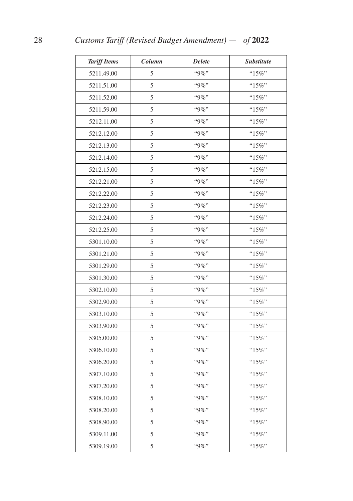| <b>Tariff Items</b> | Column | <b>Delete</b> | <b>Substitute</b> |
|---------------------|--------|---------------|-------------------|
| 5211.49.00          | 5      | $``9\%"$      | "15%"             |
| 5211.51.00          | 5      | $"9\%"$       | "15%"             |
| 5211.52.00          | 5      | $"9\%"$       | " $15\%$ "        |
| 5211.59.00          | 5      | "9%"          | " $15\%$ "        |
| 5212.11.00          | 5      | "9%"          | "15%"             |
| 5212.12.00          | 5      | "9%"          | " $15\%$ "        |
| 5212.13.00          | 5      | "9%"          | " $15\%$ "        |
| 5212.14.00          | 5      | $"9\%"$       | "15%"             |
| 5212.15.00          | 5      | $"9\%"$       | " $15\%$ "        |
| 5212.21.00          | 5      | "9%"          | " $15\%$ "        |
| 5212.22.00          | 5      | $``9\%"$      | "15%"             |
| 5212.23.00          | 5      | $"9\%"$       | " $15\%$ "        |
| 5212.24.00          | 5      | "9%"          | " $15\%$ "        |
| 5212.25.00          | 5      | "9%"          | " $15\%$ "        |
| 5301.10.00          | 5      | $"9\%"$       | "15%"             |
| 5301.21.00          | 5      | "9%"          | $"15\%"$          |
| 5301.29.00          | 5      | "9%"          | " $15\%$ "        |
| 5301.30.00          | 5      | $"9\%"$       | " $15\%$ "        |
| 5302.10.00          | 5      | $"9\%"$       | " $15\%$ "        |
| 5302.90.00          | 5      | $"9\%"$       | "15%"             |
| 5303.10.00          | 5      | $"9\%"$       | " $15\%$ "        |
| 5303.90.00          | 5      | $"9\%"$       | " $15\%$ "        |
| 5305.00.00          | 5      | $``9\%"$      | "15%"             |
| 5306.10.00          | 5      | "9%"          | "15%"             |
| 5306.20.00          | 5      | $"9\%"$       | " $15\%$ "        |
| 5307.10.00          | 5      | "9%"          | " $15\%$ "        |
| 5307.20.00          | 5      | $"9\%"$       | " $15\%$ "        |
| 5308.10.00          | 5      | "9%"          | " $15\%$ "        |
| 5308.20.00          | 5      | $``9\%"$      | " $15\%$ "        |
| 5308.90.00          | 5      | "9%"          | " $15\%$ "        |
| 5309.11.00          | 5      | "9%"          | " $15\%$ "        |
| 5309.19.00          | 5      | "9%"          | "15%"             |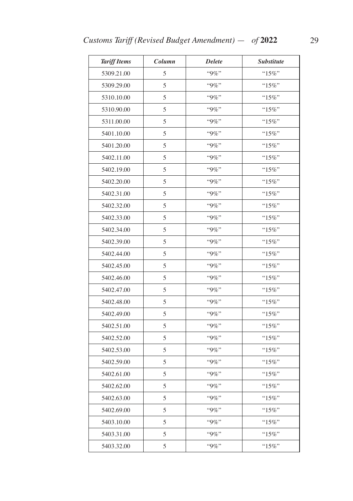| <b>Tariff Items</b> | Column | <b>Delete</b> | <b>Substitute</b> |
|---------------------|--------|---------------|-------------------|
| 5309.21.00          | 5      | "9%"          | "15%"             |
| 5309.29.00          | 5      | "9%"          | " $15\%$ "        |
| 5310.10.00          | 5      | $"9\%"$       | "15%"             |
| 5310.90.00          | 5      | $"9\%"$       | " $15\%$ "        |
| 5311.00.00          | 5      | "9%"          | " $15\%$ "        |
| 5401.10.00          | 5      | "9%"          | $"15\%"$          |
| 5401.20.00          | 5      | $"9\%"$       | " $15\%$ "        |
| 5402.11.00          | 5      | "9%"          | $"15\%"$          |
| 5402.19.00          | 5      | $"9\%"$       | " $15\%$ "        |
| 5402.20.00          | 5      | $"9\%"$       | " $15\%$ "        |
| 5402.31.00          | 5      | "9%"          | " $15\%$ "        |
| 5402.32.00          | 5      | "9%"          | " $15\%$ "        |
| 5402.33.00          | 5      | "9%"          | $"15\%"$          |
| 5402.34.00          | 5      | "9%"          | "15%"             |
| 5402.39.00          | 5      | $``9\%"$      | " $15\%$ "        |
| 5402.44.00          | 5      | $"9\%"$       | " $15\%$ "        |
| 5402.45.00          | 5      | "9%"          | " $15\%$ "        |
| 5402.46.00          | 5      | "9%"          | " $15\%$ "        |
| 5402.47.00          | 5      | $"9\%"$       | " $15\%$ "        |
| 5402.48.00          | 5      | $"9\%"$       | $"15\%"$          |
| 5402.49.00          | 5      | $"9\%"$       | " $15\%$ "        |
| 5402.51.00          | 5      | $"9\%"$       | " $15\%$ "        |
| 5402.52.00          | 5      | $"9\%"$       | " $15\%$ "        |
| 5402.53.00          | 5      | "9%"          | " $15\%$ "        |
| 5402.59.00          | 5      | "9%"          | $"15\%"$          |
| 5402.61.00          | 5      | "9%"          | "15%"             |
| 5402.62.00          | 5      | "9%"          | " $15\%$ "        |
| 5402.63.00          | 5      | $``9\%"$      | " $15\%$ "        |
| 5402.69.00          | 5      | "9%"          | " $15\%$ "        |
| 5403.10.00          | 5      | "9%"          | " $15\%$ "        |
| 5403.31.00          | 5      | "9%"          | "15%"             |
| 5403.32.00          | 5      | "9%"          | " $15\%$ "        |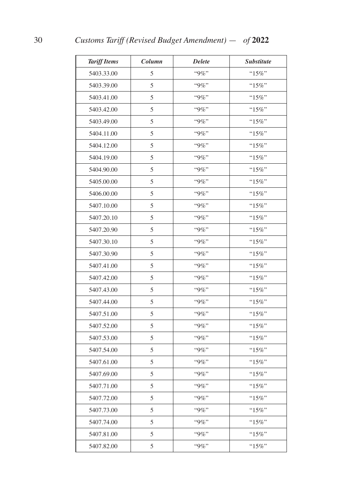| <b>Tariff Items</b> | Column | <b>Delete</b> | <b>Substitute</b> |
|---------------------|--------|---------------|-------------------|
| 5403.33.00          | 5      | "9%"          | " $15\%$ "        |
| 5403.39.00          | 5      | "9%"          | " $15\%$ "        |
| 5403.41.00          | 5      | "9%"          | "15%"             |
| 5403.42.00          | 5      | $``9\%"$      | "15%"             |
| 5403.49.00          | 5      | "9%"          | "15%"             |
| 5404.11.00          | 5      | "9%"          | "15%"             |
| 5404.12.00          | 5      | "9%"          | " $15\%$ "        |
| 5404.19.00          | 5      | $"9\%"$       | "15%"             |
| 5404.90.00          | 5      | "9%"          | "15%"             |
| 5405.00.00          | 5      | $"9\%"$       | "15%"             |
| 5406.00.00          | 5      | $``9\%"$      | "15%"             |
| 5407.10.00          | 5      | $"9\%"$       | " $15\%$ "        |
| 5407.20.10          | 5      | $``9\%"$      | "15%"             |
| 5407.20.90          | 5      | $"9\%"$       | " $15\%$ "        |
| 5407.30.10          | 5      | "9%"          | "15%"             |
| 5407.30.90          | 5      | $``9\%"$      | " $15\%$ "        |
| 5407.41.00          | 5      | "9%"          | " $15\%$ "        |
| 5407.42.00          | 5      | "9%"          | "15%"             |
| 5407.43.00          | 5      | "9%"          | " $15\%$ "        |
| 5407.44.00          | 5      | "9%"          | "15%"             |
| 5407.51.00          | 5      | $"9\%"$       | " $15\%$ "        |
| 5407.52.00          | 5      | $"9\%"$       | " $15\%$ "        |
| 5407.53.00          | 5      | "9%"          | "15%"             |
| 5407.54.00          | 5      | "9%"          | " $15\%$ "        |
| 5407.61.00          | 5      | "9%"          | " $15\%$ "        |
| 5407.69.00          | 5      | "9%"          | $"15\%"$          |
| 5407.71.00          | 5      | "9%"          | " $15\%$ "        |
| 5407.72.00          | 5      | "9%"          | "15%"             |
| 5407.73.00          | 5      | "9%"          | "15%"             |
| 5407.74.00          | 5      | $"9\%"$       | " $15\%$ "        |
| 5407.81.00          | 5      | "9%"          | $"15\%"$          |
| 5407.82.00          | 5      | "9%"          | "15%"             |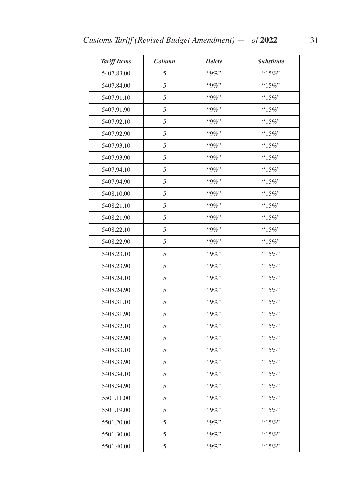| <b>Tariff Items</b> | Column | <b>Delete</b> | <b>Substitute</b> |
|---------------------|--------|---------------|-------------------|
| 5407.83.00          | 5      | "9%"          | $``15\%"$         |
| 5407.84.00          | 5      | $"9\%"$       | " $15\%$ "        |
| 5407.91.10          | 5      | "9%"          | "15%"             |
| 5407.91.90          | 5      | $"9\%"$       | " $15\%$ "        |
| 5407.92.10          | 5      | "9%"          | " $15\%$ "        |
| 5407.92.90          | 5      | "9%"          | " $15\%$ "        |
| 5407.93.10          | 5      | $"9\%"$       | " $15\%$ "        |
| 5407.93.90          | 5      | "9%"          | " $15\%$ "        |
| 5407.94.10          | 5      | $"9\%"$       | " $15\%$ "        |
| 5407.94.90          | 5      | $"9\%"$       | " $15\%$ "        |
| 5408.10.00          | 5      | $"9\%"$       | "15%"             |
| 5408.21.10          | 5      | "9%"          | " $15\%$ "        |
| 5408.21.90          | 5      | $"9\%"$       | "15%"             |
| 5408.22.10          | 5      | $"9\%"$       | "15%"             |
| 5408.22.90          | 5      | "9%"          | " $15\%$ "        |
| 5408.23.10          | 5      | $"9\%"$       | " $15\%$ "        |
| 5408.23.90          | 5      | $"9\%"$       | " $15\%$ "        |
| 5408.24.10          | 5      | "9%"          | " $15\%$ "        |
| 5408.24.90          | 5      | $"9\%"$       | " $15\%$ "        |
| 5408.31.10          | 5      | "9%"          | " $15\%$ "        |
| 5408.31.90          | 5      | $"9\%"$       | " $15\%$ "        |
| 5408.32.10          | 5      | $"9\%"$       | "15%"             |
| 5408.32.90          | 5      | $"9\%"$       | " $15\%$ "        |
| 5408.33.10          | 5      | "9%"          | "15%"             |
| 5408.33.90          | 5      | "9%"          | "15%"             |
| 5408.34.10          | 5      | "9%"          | " $15\%$ "        |
| 5408.34.90          | 5      | "9%"          | "15%"             |
| 5501.11.00          | 5      | "9%"          | "15%"             |
| 5501.19.00          | 5      | "9%"          | "15%"             |
| 5501.20.00          | 5      | "9%"          | " $15\%$ "        |
| 5501.30.00          | 5      | "9%"          | $"15\%"$          |
| 5501.40.00          | 5      | "9%"          | " $15\%$ "        |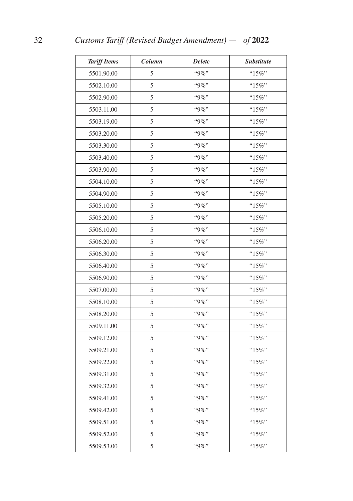| <b>Tariff Items</b> | Column | <b>Delete</b> | <b>Substitute</b> |
|---------------------|--------|---------------|-------------------|
| 5501.90.00          | 5      | "9%"          | " $15\%$ "        |
| 5502.10.00          | 5      | "9%"          | " $15\%$ "        |
| 5502.90.00          | 5      | "9%"          | "15%"             |
| 5503.11.00          | 5      | "9%"          | "15%"             |
| 5503.19.00          | 5      | "9%"          | "15%"             |
| 5503.20.00          | 5      | "9%"          | "15%"             |
| 5503.30.00          | 5      | "9%"          | " $15\%$ "        |
| 5503.40.00          | 5      | $"9\%"$       | "15%"             |
| 5503.90.00          | 5      | $"9\%"$       | "15%"             |
| 5504.10.00          | 5      | $"9\%"$       | "15%"             |
| 5504.90.00          | 5      | "9%"          | "15%"             |
| 5505.10.00          | 5      | $"9\%"$       | "15%"             |
| 5505.20.00          | 5      | "9%"          | "15%"             |
| 5506.10.00          | 5      | $"9\%"$       | "15%"             |
| 5506.20.00          | 5      | "9%"          | "15%"             |
| 5506.30.00          | 5      | $``9\%"$      | "15%"             |
| 5506.40.00          | 5      | "9%"          | "15%"             |
| 5506.90.00          | 5      | "9%"          | "15%"             |
| 5507.00.00          | 5      | "9%"          | " $15\%$ "        |
| 5508.10.00          | 5      | "9%"          | "15%"             |
| 5508.20.00          | 5      | $"9\%"$       | "15%"             |
| 5509.11.00          | 5      | $"9\%"$       | "15%"             |
| 5509.12.00          | 5      | $``9\%"$      | "15%"             |
| 5509.21.00          | 5      | "9%"          | "15%"             |
| 5509.22.00          | 5      | $``9\%"$      | "15%"             |
| 5509.31.00          | 5      | "9%"          | $"15\%"$          |
| 5509.32.00          | 5      | "9%"          | " $15\%$ "        |
| 5509.41.00          | 5      | "9%"          | "15%"             |
| 5509.42.00          | 5      | $``9\%"$      | "15%"             |
| 5509.51.00          | 5      | "9%"          | " $15\%$ "        |
| 5509.52.00          | 5      | "9%"          | " $15\%$ "        |
| 5509.53.00          | 5      | "9%"          | "15%"             |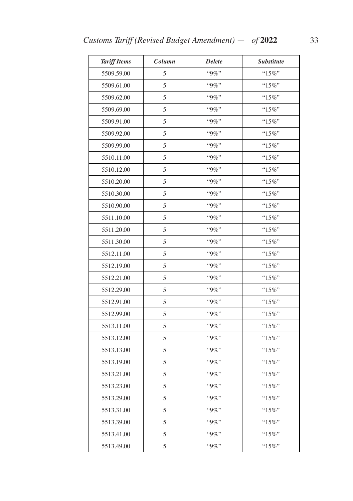| <b>Tariff Items</b> | Column | <b>Delete</b> | <b>Substitute</b> |
|---------------------|--------|---------------|-------------------|
| 5509.59.00          | 5      | "9%"          | "15%"             |
| 5509.61.00          | 5      | "9%"          | " $15\%$ "        |
| 5509.62.00          | 5      | "9%"          | " $15\%$ "        |
| 5509.69.00          | 5      | $"9\%"$       | " $15\%$ "        |
| 5509.91.00          | 5      | $"9\%"$       | "15%"             |
| 5509.92.00          | 5      | "9%"          | $"15\%"$          |
| 5509.99.00          | 5      | $"9\%"$       | " $15\%$ "        |
| 5510.11.00          | 5      | $"9\%"$       | "15%"             |
| 5510.12.00          | 5      | $"9\%"$       | " $15\%$ "        |
| 5510.20.00          | 5      | "9%"          | "15%"             |
| 5510.30.00          | 5      | $"9\%"$       | "15%"             |
| 5510.90.00          | 5      | $"9\%"$       | " $15\%$ "        |
| 5511.10.00          | 5      | $"9\%"$       | $"15\%"$          |
| 5511.20.00          | 5      | "9%"          | " $15\%$ "        |
| 5511.30.00          | 5      | "9%"          | $"15\%"$          |
| 5512.11.00          | 5      | $"9\%"$       | " $15\%$ "        |
| 5512.19.00          | 5      | $"9\%"$       | "15%"             |
| 5512.21.00          | 5      | "9%"          | $"15\%"$          |
| 5512.29.00          | 5      | $"9\%"$       | " $15\%$ "        |
| 5512.91.00          | 5      | $"9\%"$       | "15%"             |
| 5512.99.00          | 5      | $"9\%"$       | " $15\%$ "        |
| 5513.11.00          | 5      | "9%"          | "15%"             |
| 5513.12.00          | 5      | $"9\%"$       | " $15\%$ "        |
| 5513.13.00          | 5      | $"9\%"$       | "15%"             |
| 5513.19.00          | 5      | "9%"          | " $15\%$ "        |
| 5513.21.00          | 5      | $"9\%"$       | $"15\%"$          |
| 5513.23.00          | 5      | "9%"          | " $15\%$ "        |
| 5513.29.00          | 5      | $"9\%"$       | " $15\%$ "        |
| 5513.31.00          | 5      | $"9\%"$       | " $15\%$ "        |
| 5513.39.00          | 5      | $``9\%"$      | " $15\%$ "        |
| 5513.41.00          | 5      | "9%"          | " $15\%$ "        |
| 5513.49.00          | 5      | $``9\%"$      | " $15\%$ "        |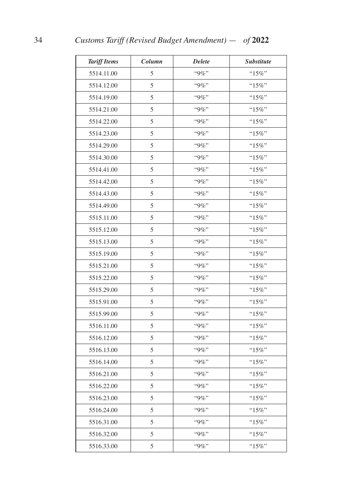| <b>Tariff Items</b> | Column | <b>Delete</b> | Substitute |
|---------------------|--------|---------------|------------|
| 5514.11.00          | 5      | $``9\%"$      | " $15\%$ " |
| 5514.12.00          | 5      | "9%"          | " $15\%$ " |
| 5514.19.00          | 5      | "9%"          | "15%"      |
| 5514.21.00          | 5      | "9%"          | " $15\%$ " |
| 5514.22.00          | 5      | "9%"          | " $15\%$ " |
| 5514.23.00          | 5      | "9%"          | " $15\%$ " |
| 5514.29.00          | 5      | "9%"          | $``15\%"$  |
| 5514.30.00          | 5      | "9%"          | "15%"      |
| 5514.41.00          | 5      | "9%"          | " $15\%$ " |
| 5514.42.00          | 5      | "9%"          | " $15\%$ " |
| 5514.43.00          | 5      | "9%"          | $``15\%"$  |
| 5514.49.00          | 5      | $"9\%"$       | " $15\%$ " |
| 5515.11.00          | 5      | $``9\%"$      | "15%"      |
| 5515.12.00          | 5      | "9%"          | $"15\%"$   |
| 5515.13.00          | 5      | "9%"          | "15%"      |
| 5515.19.00          | 5      | "9%"          | " $15\%$ " |
| 5515.21.00          | 5      | "9%"          | $``15\%"$  |
| 5515.22.00          | 5      | $"9\%"$       | " $15\%$ " |
| 5515.29.00          | 5      | $"9\%"$       | " $15\%$ " |
| 5515.91.00          | 5      | "9%"          | "15%"      |
| 5515.99.00          | 5      | $"9\%"$       | " $15\%$ " |
| 5516.11.00          | 5      | "9%"          | "15%"      |
| 5516.12.00          | 5      | "9%"          | "15%"      |
| 5516.13.00          | 5      | "9%"          | " $15\%$ " |
| 5516.14.00          | 5      | "9%"          | "15%"      |
| 5516.21.00          | 5      | "9%"          | " $15\%$ " |
| 5516.22.00          | 5      | "9%"          | "15%"      |
| 5516.23.00          | 5      | "9%"          | "15%"      |
| 5516.24.00          | 5      | "9%"          | " $15\%$ " |
| 5516.31.00          | 5      | "9%"          | "15%"      |
| 5516.32.00          | 5      | "9%"          | "15%"      |
| 5516.33.00          | 5      | $"9\%"$       | "15%"      |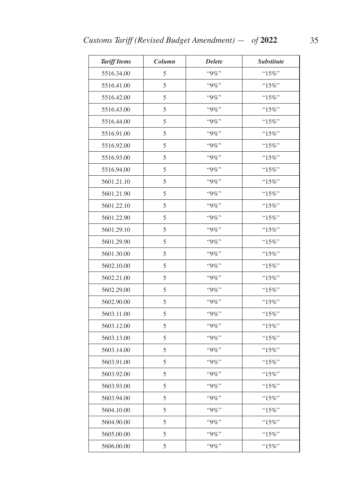| <b>Tariff Items</b> | Column | <b>Delete</b> | <b>Substitute</b> |
|---------------------|--------|---------------|-------------------|
| 5516.34.00          | 5      | "9%"          | "15%"             |
| 5516.41.00          | 5      | $"9\%"$       | " $15\%$ "        |
| 5516.42.00          | 5      | "9%"          | "15%"             |
| 5516.43.00          | 5      | $"9\%"$       | " $15\%$ "        |
| 5516.44.00          | 5      | "9%"          | " $15\%$ "        |
| 5516.91.00          | 5      | "9%"          | " $15\%$ "        |
| 5516.92.00          | 5      | $"9\%"$       | " $15\%$ "        |
| 5516.93.00          | 5      | "9%"          | " $15\%$ "        |
| 5516.94.00          | 5      | $"9\%"$       | " $15\%$ "        |
| 5601.21.10          | 5      | $"9\%"$       | "15%"             |
| 5601.21.90          | 5      | "9%"          | "15%"             |
| 5601.22.10          | 5      | $"9\%"$       | "15%"             |
| 5601.22.90          | 5      | $"9\%"$       | "15%"             |
| 5601.29.10          | 5      | $"9\%"$       | " $15\%$ "        |
| 5601.29.90          | 5      | "9%"          | "15%"             |
| 5601.30.00          | 5      | $"9\%"$       | " $15\%$ "        |
| 5602.10.00          | 5      | $"9\%"$       | " $15\%$ "        |
| 5602.21.00          | 5      | "9%"          | " $15\%$ "        |
| 5602.29.00          | 5      | $"9\%"$       | " $15\%$ "        |
| 5602.90.00          | 5      | "9%"          | "15%"             |
| 5603.11.00          | 5      | $"9\%"$       | " $15\%$ "        |
| 5603.12.00          | 5      | $"9\%"$       | " $15\%$ "        |
| 5603.13.00          | 5      | $"9\%"$       | "15%"             |
| 5603.14.00          | 5      | "9%"          | " $15\%$ "        |
| 5603.91.00          | 5      | "9%"          | " $15\%$ "        |
| 5603.92.00          | 5      | "9%"          | $"15\%"$          |
| 5603.93.00          | 5      | "9%"          | "15%"             |
| 5603.94.00          | 5      | "9%"          | "15%"             |
| 5604.10.00          | 5      | "9%"          | $"15\%"$          |
| 5604.90.00          | 5      | "9%"          | " $15\%$ "        |
| 5605.00.00          | 5      | "9%"          | $"15\%"$          |
| 5606.00.00          | 5      | "9%"          | " $15\%$ "        |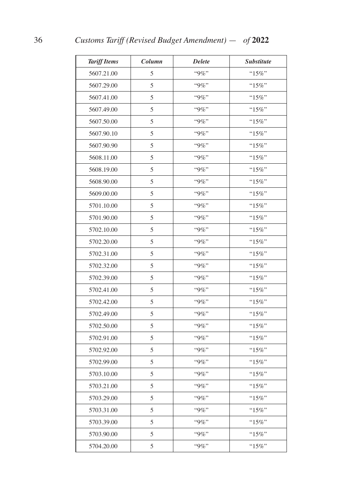| <b>Tariff Items</b> | Column | <b>Delete</b> | <b>Substitute</b> |
|---------------------|--------|---------------|-------------------|
| 5607.21.00          | 5      | "9%"          | " $15\%$ "        |
| 5607.29.00          | 5      | $"9\%"$       | " $15\%$ "        |
| 5607.41.00          | 5      | "9%"          | "15%"             |
| 5607.49.00          | 5      | "9%"          | "15%"             |
| 5607.50.00          | 5      | $"9\%"$       | "15%"             |
| 5607.90.10          | 5      | "9%"          | "15%"             |
| 5607.90.90          | 5      | "9%"          | " $15\%$ "        |
| 5608.11.00          | 5      | $"9\%"$       | "15%"             |
| 5608.19.00          | 5      | $"9\%"$       | "15%"             |
| 5608.90.00          | 5      | $"9\%"$       | "15%"             |
| 5609.00.00          | 5      | "9%"          | "15%"             |
| 5701.10.00          | 5      | $"9\%"$       | "15%"             |
| 5701.90.00          | 5      | "9%"          | "15%"             |
| 5702.10.00          | 5      | $"9\%"$       | " $15\%$ "        |
| 5702.20.00          | 5      | "9%"          | "15%"             |
| 5702.31.00          | 5      | "9%"          | "15%"             |
| 5702.32.00          | 5      | "9%"          | "15%"             |
| 5702.39.00          | 5      | "9%"          | "15%"             |
| 5702.41.00          | 5      | $"9\%"$       | " $15\%$ "        |
| 5702.42.00          | 5      | "9%"          | "15%"             |
| 5702.49.00          | 5      | $"9\%"$       | "15%"             |
| 5702.50.00          | 5      | $"9\%"$       | "15%"             |
| 5702.91.00          | 5      | "9%"          | "15%"             |
| 5702.92.00          | 5      | "9%"          | " $15\%$ "        |
| 5702.99.00          | 5      | "9%"          | "15%"             |
| 5703.10.00          | 5      | "9%"          | $"15\%"$          |
| 5703.21.00          | 5      | "9%"          | " $15\%$ "        |
| 5703.29.00          | 5      | "9%"          | " $15\%$ "        |
| 5703.31.00          | 5      | "9%"          | "15%"             |
| 5703.39.00          | 5      | "9%"          | " $15\%$ "        |
| 5703.90.00          | 5      | "9%"          | " $15\%$ "        |
| 5704.20.00          | 5      | "9%"          | "15%"             |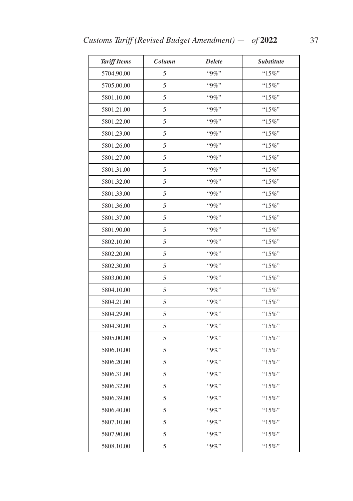| <b>Tariff Items</b> | Column | <b>Delete</b> | <b>Substitute</b> |
|---------------------|--------|---------------|-------------------|
| 5704.90.00          | 5      | "9%"          | "15%"             |
| 5705.00.00          | 5      | $"9\%"$       | " $15\%$ "        |
| 5801.10.00          | 5      | "9%"          | "15%"             |
| 5801.21.00          | 5      | $"9\%"$       | " $15\%$ "        |
| 5801.22.00          | 5      | "9%"          | " $15\%$ "        |
| 5801.23.00          | 5      | "9%"          | " $15\%$ "        |
| 5801.26.00          | 5      | $"9\%"$       | " $15\%$ "        |
| 5801.27.00          | 5      | "9%"          | " $15\%$ "        |
| 5801.31.00          | 5      | $"9\%"$       | " $15\%$ "        |
| 5801.32.00          | 5      | $"9\%"$       | "15%"             |
| 5801.33.00          | 5      | "9%"          | "15%"             |
| 5801.36.00          | 5      | "9%"          | "15%"             |
| 5801.37.00          | 5      | $"9\%"$       | "15%"             |
| 5801.90.00          | 5      | $"9\%"$       | "15%"             |
| 5802.10.00          | 5      | "9%"          | "15%"             |
| 5802.20.00          | 5      | $"9\%"$       | " $15\%$ "        |
| 5802.30.00          | 5      | $"9\%"$       | " $15\%$ "        |
| 5803.00.00          | 5      | "9%"          | " $15\%$ "        |
| 5804.10.00          | 5      | $"9\%"$       | " $15\%$ "        |
| 5804.21.00          | 5      | "9%"          | " $15\%$ "        |
| 5804.29.00          | 5      | $"9\%"$       | " $15\%$ "        |
| 5804.30.00          | 5      | $"9\%"$       | " $15\%$ "        |
| 5805.00.00          | 5      | "9%"          | "15%"             |
| 5806.10.00          | 5      | "9%"          | " $15\%$ "        |
| 5806.20.00          | 5      | "9%"          | " $15\%$ "        |
| 5806.31.00          | 5      | "9%"          | $"15\%"$          |
| 5806.32.00          | 5      | "9%"          | "15%"             |
| 5806.39.00          | 5      | "9%"          | "15%"             |
| 5806.40.00          | 5      | "9%"          | " $15\%$ "        |
| 5807.10.00          | 5      | "9%"          | " $15\%$ "        |
| 5807.90.00          | 5      | "9%"          | "15%"             |
| 5808.10.00          | 5      | "9%"          | " $15\%$ "        |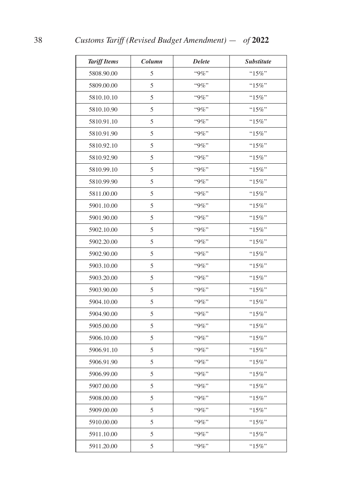| <b>Tariff Items</b> | Column | <b>Delete</b> | <b>Substitute</b> |
|---------------------|--------|---------------|-------------------|
| 5808.90.00          | 5      | "9%"          | "15%"             |
| 5809.00.00          | 5      | $"9\%"$       | "15%"             |
| 5810.10.10          | 5      | $"9\%"$       | " $15\%$ "        |
| 5810.10.90          | 5      | "9%"          | " $15\%$ "        |
| 5810.91.10          | 5      | "9%"          | "15%"             |
| 5810.91.90          | 5      | $"9\%"$       | "15%"             |
| 5810.92.10          | 5      | $"9\%"$       | " $15\%$ "        |
| 5810.92.90          | 5      | "9%"          | "15%"             |
| 5810.99.10          | 5      | $"9\%"$       | " $15\%$ "        |
| 5810.99.90          | 5      | $"9\%"$       | $"15\%"$          |
| 5811.00.00          | 5      | "9%"          | "15%"             |
| 5901.10.00          | 5      | $"9\%"$       | " $15\%$ "        |
| 5901.90.00          | 5      | "9%"          | " $15\%$ "        |
| 5902.10.00          | 5      | $"9\%"$       | "15%"             |
| 5902.20.00          | 5      | $"9\%"$       | "15%"             |
| 5902.90.00          | 5      | "9%"          | $"15\%"$          |
| 5903.10.00          | 5      | "9%"          | " $15\%$ "        |
| 5903.20.00          | 5      | $"9\%"$       | "15%"             |
| 5903.90.00          | 5      | $"9\%"$       | " $15\%$ "        |
| 5904.10.00          | 5      | $"9\%"$       | "15%"             |
| 5904.90.00          | 5      | $"9\%"$       | " $15\%$ "        |
| 5905.00.00          | 5      | $"9\%"$       | "15%"             |
| 5906.10.00          | 5      | $``9\%"$      | "15%"             |
| 5906.91.10          | 5      | $"9\%"$       | "15%"             |
| 5906.91.90          | 5      | $"9\%"$       | " $15\%$ "        |
| 5906.99.00          | 5      | "9%"          | " $15\%$ "        |
| 5907.00.00          | 5      | $"9\%"$       | " $15\%$ "        |
| 5908.00.00          | 5      | "9%"          | " $15\%$ "        |
| 5909.00.00          | 5      | $``9\%"$      | " $15\%$ "        |
| 5910.00.00          | 5      | $"9\%"$       | "15%"             |
| 5911.10.00          | 5      | "9%"          | " $15\%$ "        |
| 5911.20.00          | 5      | "9%"          | "15%"             |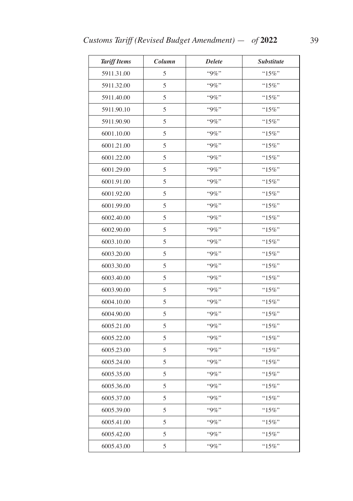| <b>Tariff Items</b> | Column | <b>Delete</b> | <b>Substitute</b> |
|---------------------|--------|---------------|-------------------|
| 5911.31.00          | 5      | "9%"          | "15%"             |
| 5911.32.00          | 5      | $"9\%"$       | " $15\%$ "        |
| 5911.40.00          | 5      | "9%"          | "15%"             |
| 5911.90.10          | 5      | $"9\%"$       | " $15\%$ "        |
| 5911.90.90          | 5      | "9%"          | " $15\%$ "        |
| 6001.10.00          | 5      | "9%"          | " $15\%$ "        |
| 6001.21.00          | 5      | $"9\%"$       | " $15\%$ "        |
| 6001.22.00          | 5      | "9%"          | " $15\%$ "        |
| 6001.29.00          | 5      | $"9\%"$       | " $15\%$ "        |
| 6001.91.00          | 5      | $"9\%"$       | "15%"             |
| 6001.92.00          | 5      | "9%"          | "15%"             |
| 6001.99.00          | 5      | "9%"          | "15%"             |
| 6002.40.00          | 5      | "9%"          | "15%"             |
| 6002.90.00          | 5      | $"9\%"$       | " $15\%$ "        |
| 6003.10.00          | 5      | $"9\%"$       | "15%"             |
| 6003.20.00          | 5      | $"9\%"$       | " $15\%$ "        |
| 6003.30.00          | 5      | $"9\%"$       | " $15\%$ "        |
| 6003.40.00          | 5      | "9%"          | " $15\%$ "        |
| 6003.90.00          | 5      | $"9\%"$       | " $15\%$ "        |
| 6004.10.00          | 5      | "9%"          | " $15\%$ "        |
| 6004.90.00          | 5      | $"9\%"$       | " $15\%$ "        |
| 6005.21.00          | 5      | $"9\%"$       | "15%"             |
| 6005.22.00          | 5      | "9%"          | "15%"             |
| 6005.23.00          | 5      | "9%"          | " $15\%$ "        |
| 6005.24.00          | 5      | $"9\%"$       | "15%"             |
| 6005.35.00          | 5      | "9%"          | $"15\%"$          |
| 6005.36.00          | 5      | "9%"          | "15%"             |
| 6005.37.00          | 5      | "9%"          | "15%"             |
| 6005.39.00          | 5      | "9%"          | $"15\%"$          |
| 6005.41.00          | 5      | "9%"          | " $15\%$ "        |
| 6005.42.00          | 5      | "9%"          | $"15\%"$          |
| 6005.43.00          | 5      | "9%"          | " $15\%$ "        |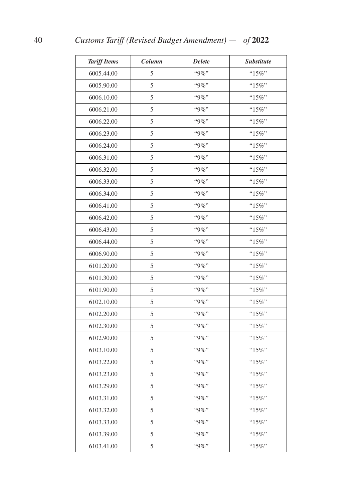| <b>Tariff Items</b> | Column | <b>Delete</b> | <i><b>Substitute</b></i> |
|---------------------|--------|---------------|--------------------------|
| 6005.44.00          | 5      | "9%"          | "15%"                    |
| 6005.90.00          | 5      | $"9\%"$       | "15%"                    |
| 6006.10.00          | 5      | "9%"          | "15%"                    |
| 6006.21.00          | 5      | "9%"          | " $15\%$ "               |
| 6006.22.00          | 5      | "9%"          | " $15\%$ "               |
| 6006.23.00          | 5      | $"9\%"$       | "15%"                    |
| 6006.24.00          | 5      | $"9\%"$       | " $15\%$ "               |
| 6006.31.00          | 5      | $"9\%"$       | "15%"                    |
| 6006.32.00          | 5      | $"9\%"$       | "15%"                    |
| 6006.33.00          | 5      | $"9\%"$       | $"15\%"$                 |
| 6006.34.00          | 5      | "9%"          | "15%"                    |
| 6006.41.00          | 5      | $"9\%"$       | " $15\%$ "               |
| 6006.42.00          | 5      | "9%"          | "15%"                    |
| 6006.43.00          | 5      | $"9\%"$       | "15%"                    |
| 6006.44.00          | 5      | $"9\%"$       | "15%"                    |
| 6006.90.00          | 5      | "9%"          | $"15\%"$                 |
| 6101.20.00          | 5      | "9%"          | " $15\%$ "               |
| 6101.30.00          | 5      | $"9\%"$       | "15%"                    |
| 6101.90.00          | 5      | $"9\%"$       | " $15\%$ "               |
| 6102.10.00          | 5      | "9%"          | "15%"                    |
| 6102.20.00          | 5      | $"9\%"$       | " $15\%$ "               |
| 6102.30.00          | 5      | $"9\%"$       | " $15\%$ "               |
| 6102.90.00          | 5      | $``9\%"$      | "15%"                    |
| 6103.10.00          | 5      | $"9\%"$       | " $15\%$ "               |
| 6103.22.00          | 5      | $"9\%"$       | " $15\%$ "               |
| 6103.23.00          | 5      | "9%"          | " $15\%$ "               |
| 6103.29.00          | 5      | $"9\%"$       | " $15\%$ "               |
| 6103.31.00          | 5      | "9%"          | " $15\%$ "               |
| 6103.32.00          | 5      | $``9\%"$      | " $15\%$ "               |
| 6103.33.00          | 5      | "9%"          | " $15\%$ "               |
| 6103.39.00          | 5      | "9%"          | " $15\%$ "               |
| 6103.41.00          | 5      | "9%"          | "15%"                    |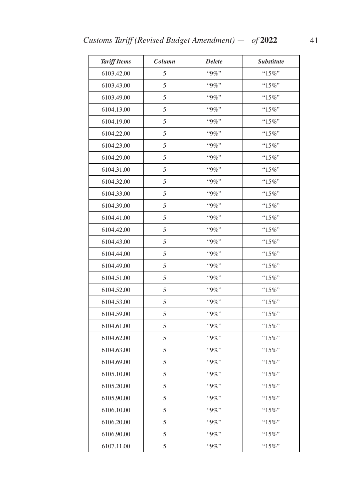| <b>Tariff Items</b> | Column | <b>Delete</b> | <b>Substitute</b> |
|---------------------|--------|---------------|-------------------|
| 6103.42.00          | 5      | "9%"          | "15%"             |
| 6103.43.00          | 5      | "9%"          | " $15\%$ "        |
| 6103.49.00          | 5      | "9%"          | "15%"             |
| 6104.13.00          | 5      | $"9\%"$       | " $15\%$ "        |
| 6104.19.00          | 5      | "9%"          | " $15\%$ "        |
| 6104.22.00          | 5      | $``9\%"$      | " $15\%$ "        |
| 6104.23.00          | 5      | $"9\%"$       | " $15\%$ "        |
| 6104.29.00          | 5      | "9%"          | $"15\%"$          |
| 6104.31.00          | 5      | $"9\%"$       | " $15\%$ "        |
| 6104.32.00          | 5      | $"9\%"$       | "15%"             |
| 6104.33.00          | 5      | "9%"          | " $15\%$ "        |
| 6104.39.00          | 5      | "9%"          | " $15\%$ "        |
| 6104.41.00          | 5      | $"9\%"$       | $"15\%"$          |
| 6104.42.00          | 5      | "9%"          | " $15\%$ "        |
| 6104.43.00          | 5      | "9%"          | "15%"             |
| 6104.44.00          | 5      | $"9\%"$       | " $15\%$ "        |
| 6104.49.00          | 5      | "9%"          | " $15\%$ "        |
| 6104.51.00          | 5      | $``9\%"$      | " $15\%$ "        |
| 6104.52.00          | 5      | $"9\%"$       | " $15\%$ "        |
| 6104.53.00          | 5      | "9%"          | "15%"             |
| 6104.59.00          | 5      | $"9\%"$       | " $15\%$ "        |
| 6104.61.00          | 5      | $"9\%"$       | " $15\%$ "        |
| 6104.62.00          | 5      | $"9\%"$       | "15%"             |
| 6104.63.00          | 5      | "9%"          | " $15\%$ "        |
| 6104.69.00          | 5      | "9%"          | $"15\%"$          |
| 6105.10.00          | 5      | "9%"          | " $15\%$ "        |
| 6105.20.00          | 5      | "9%"          | " $15\%$ "        |
| 6105.90.00          | 5      | "9%"          | "15%"             |
| 6106.10.00          | 5      | "9%"          | $"15\%"$          |
| 6106.20.00          | 5      | "9%"          | " $15\%$ "        |
| 6106.90.00          | 5      | $``9\%"$      | $"15\%"$          |
| 6107.11.00          | 5      | "9%"          | "15%"             |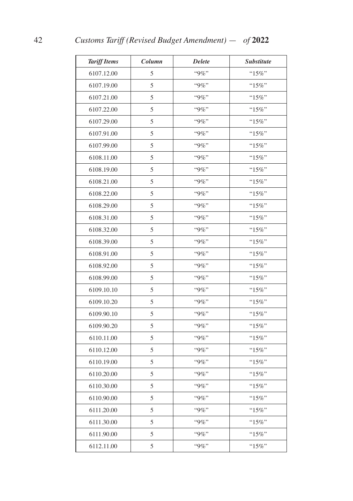| <b>Tariff Items</b> | Column | <b>Delete</b> | <b>Substitute</b> |
|---------------------|--------|---------------|-------------------|
| 6107.12.00          | 5      | $``9\%"$      | " $15\%$ "        |
| 6107.19.00          | 5      | "9%"          | " $15\%$ "        |
| 6107.21.00          | 5      | "9%"          | "15%"             |
| 6107.22.00          | 5      | $``9\%"$      | "15%"             |
| 6107.29.00          | 5      | "9%"          | "15%"             |
| 6107.91.00          | 5      | "9%"          | "15%"             |
| 6107.99.00          | 5      | "9%"          | " $15\%$ "        |
| 6108.11.00          | 5      | $"9\%"$       | "15%"             |
| 6108.19.00          | 5      | $"9\%"$       | "15%"             |
| 6108.21.00          | 5      | $"9\%"$       | "15%"             |
| 6108.22.00          | 5      | $``9\%"$      | "15%"             |
| 6108.29.00          | 5      | $"9\%"$       | "15%"             |
| 6108.31.00          | 5      | $``9\%"$      | "15%"             |
| 6108.32.00          | 5      | "9%"          | "15%"             |
| 6108.39.00          | 5      | "9%"          | "15%"             |
| 6108.91.00          | 5      | $``9\%"$      | "15%"             |
| 6108.92.00          | 5      | "9%"          | "15%"             |
| 6108.99.00          | 5      | "9%"          | "15%"             |
| 6109.10.10          | 5      | "9%"          | " $15\%$ "        |
| 6109.10.20          | 5      | "9%"          | "15%"             |
| 6109.90.10          | 5      | $"9\%"$       | "15%"             |
| 6109.90.20          | 5      | $"9\%"$       | " $15\%$ "        |
| 6110.11.00          | 5      | $``9\%"$      | "15%"             |
| 6110.12.00          | 5      | "9%"          | " $15\%$ "        |
| 6110.19.00          | 5      | "9%"          | "15%"             |
| 6110.20.00          | 5      | "9%"          | $"15\%"$          |
| 6110.30.00          | 5      | "9%"          | " $15\%$ "        |
| 6110.90.00          | 5      | "9%"          | " $15\%$ "        |
| 6111.20.00          | 5      | "9%"          | "15%"             |
| 6111.30.00          | 5      | "9%"          | $"15\%"$          |
| 6111.90.00          | 5      | "9%"          | " $15\%$ "        |
| 6112.11.00          | 5      | $``9\%"$      | $``15\%"$         |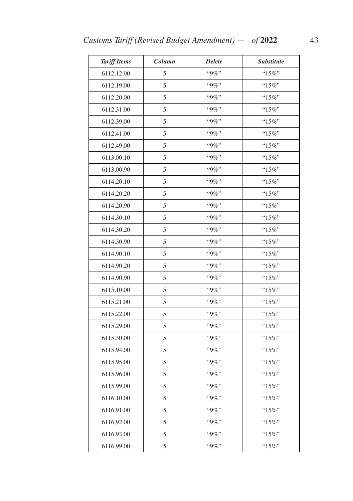| <b>Tariff Items</b> | Column | <b>Delete</b> | <b>Substitute</b> |
|---------------------|--------|---------------|-------------------|
| 6112.12.00          | 5      | "9%"          | "15%"             |
| 6112.19.00          | 5      | $``9\%"$      | " $15\%$ "        |
| 6112.20.00          | 5      | "9%"          | " $15\%$ "        |
| 6112.31.00          | 5      | "9%"          | " $15\%$ "        |
| 6112.39.00          | 5      | $"9\%"$       | $``15\%"$         |
| 6112.41.00          | 5      | "9%"          | " $15\%$ "        |
| 6112.49.00          | 5      | $"9\%"$       | " $15\%$ "        |
| 6113.00.10          | 5      | "9%"          | "15%"             |
| 6113.00.90          | 5      | $"9\%"$       | " $15\%$ "        |
| 6114.20.10          | 5      | $"9\%"$       | " $15\%$ "        |
| 6114.20.20          | 5      | $"9\%"$       | " $15\%$ "        |
| 6114.20.90          | 5      | "9%"          | " $15\%$ "        |
| 6114.30.10          | 5      | "9%"          | " $15\%$ "        |
| 6114.30.20          | 5      | "9%"          | " $15\%$ "        |
| 6114.30.90          | 5      | "9%"          | "15%"             |
| 6114.90.10          | 5      | "9%"          | " $15\%$ "        |
| 6114.90.20          | 5      | $"9\%"$       | "15%"             |
| 6114.90.90          | 5      | "9%"          | " $15\%$ "        |
| 6115.10.00          | 5      | $"9\%"$       | " $15\%$ "        |
| 6115.21.00          | 5      | $"9\%"$       | " $15\%$ "        |
| 6115.22.00          | 5      | $"9\%"$       | " $15\%$ "        |
| 6115.29.00          | 5      | $"9\%"$       | " $15\%$ "        |
| 6115.30.00          | 5      | $"9\%"$       | "15%"             |
| 6115.94.00          | 5      | "9%"          | " $15\%$ "        |
| 6115.95.00          | 5      | "9%"          | "15%"             |
| 6115.96.00          | 5      | "9%"          | $"15\%"$          |
| 6115.99.00          | 5      | "9%"          | "15%"             |
| 6116.10.00          | 5      | $"9\%"$       | "15%"             |
| 6116.91.00          | 5      | "9%"          | " $15\%$ "        |
| 6116.92.00          | 5      | $``9\%"$      | " $15\%$ "        |
| 6116.93.00          | 5      | "9%"          | "15%"             |
| 6116.99.00          | 5      | "9%"          | " $15\%$ "        |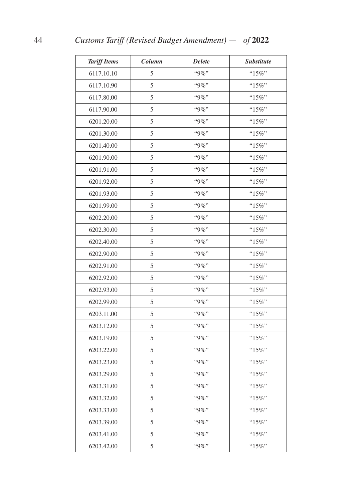| <b>Tariff Items</b> | Column | <b>Delete</b> | <b>Substitute</b> |
|---------------------|--------|---------------|-------------------|
| 6117.10.10          | 5      | "9%"          | "15%"             |
| 6117.10.90          | 5      | "9%"          | "15%"             |
| 6117.80.00          | 5      | $"9\%"$       | " $15\%$ "        |
| 6117.90.00          | 5      | "9%"          | " $15\%$ "        |
| 6201.20.00          | 5      | "9%"          | " $15\%$ "        |
| 6201.30.00          | 5      | "9%"          | "15%"             |
| 6201.40.00          | 5      | $"9\%"$       | " $15\%$ "        |
| 6201.90.00          | 5      | $"9\%"$       | "15%"             |
| 6201.91.00          | 5      | $"9\%"$       | " $15\%$ "        |
| 6201.92.00          | 5      | "9%"          | " $15\%$ "        |
| 6201.93.00          | 5      | "9%"          | " $15\%$ "        |
| 6201.99.00          | 5      | $"9\%"$       | " $15\%$ "        |
| 6202.20.00          | 5      | "9%"          | " $15\%$ "        |
| 6202.30.00          | 5      | $"9\%"$       | "15%"             |
| 6202.40.00          | 5      | $"9\%"$       | "15%"             |
| 6202.90.00          | 5      | "9%"          | $"15\%"$          |
| 6202.91.00          | 5      | "9%"          | " $15\%$ "        |
| 6202.92.00          | 5      | $"9\%"$       | "15%"             |
| 6202.93.00          | 5      | $"9\%"$       | " $15\%$ "        |
| 6202.99.00          | 5      | $"9\%"$       | "15%"             |
| 6203.11.00          | 5      | $"9\%"$       | " $15\%$ "        |
| 6203.12.00          | 5      | $"9\%"$       | " $15\%$ "        |
| 6203.19.00          | 5      | $``9\%"$      | "15%"             |
| 6203.22.00          | 5      | $"9\%"$       | " $15\%$ "        |
| 6203.23.00          | 5      | $"9\%"$       | " $15\%$ "        |
| 6203.29.00          | 5      | "9%"          | $"15\%"$          |
| 6203.31.00          | 5      | $"9\%"$       | "15%"             |
| 6203.32.00          | 5      | "9%"          | " $15\%$ "        |
| 6203.33.00          | 5      | "9%"          | "15%"             |
| 6203.39.00          | 5      | $"9\%"$       | " $15\%$ "        |
| 6203.41.00          | 5      | "9%"          | " $15\%$ "        |
| 6203.42.00          | 5      | $"9\%"$       | " $15\%$ "        |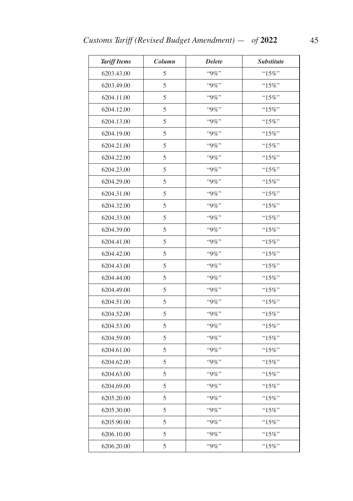| <b>Tariff Items</b> | Column | <b>Delete</b> | <b>Substitute</b> |
|---------------------|--------|---------------|-------------------|
| 6203.43.00          | 5      | "9%"          | $``15\%"$         |
| 6203.49.00          | 5      | "9%"          | " $15\%$ "        |
| 6204.11.00          | 5      | "9%"          | "15%"             |
| 6204.12.00          | 5      | $"9\%"$       | "15%"             |
| 6204.13.00          | 5      | "9%"          | " $15\%$ "        |
| 6204.19.00          | 5      | $``9\%"$      | "15%"             |
| 6204.21.00          | 5      | $"9\%"$       | " $15\%$ "        |
| 6204.22.00          | 5      | "9%"          | " $15\%$ "        |
| 6204.23.00          | 5      | "9%"          | " $15\%$ "        |
| 6204.29.00          | 5      | $"9\%"$       | "15%"             |
| 6204.31.00          | 5      | "9%"          | " $15\%$ "        |
| 6204.32.00          | 5      | "9%"          | "15%"             |
| 6204.33.00          | 5      | $"9\%"$       | "15%"             |
| 6204.39.00          | 5      | "9%"          | " $15\%$ "        |
| 6204.41.00          | 5      | "9%"          | "15%"             |
| 6204.42.00          | 5      | $"9\%"$       | " $15\%$ "        |
| 6204.43.00          | 5      | "9%"          | " $15\%$ "        |
| 6204.44.00          | 5      | "9%"          | " $15\%$ "        |
| 6204.49.00          | 5      | $"9\%"$       | " $15\%$ "        |
| 6204.51.00          | 5      | $"9\%"$       | "15%"             |
| 6204.52.00          | 5      | $"9\%"$       | " $15\%$ "        |
| 6204.53.00          | 5      | $"9\%"$       | " $15\%$ "        |
| 6204.59.00          | 5      | $"9\%"$       | $"15\%"$          |
| 6204.61.00          | 5      | "9%"          | " $15\%$ "        |
| 6204.62.00          | 5      | "9%"          | "15%"             |
| 6204.63.00          | 5      | "9%"          | $"15\%"$          |
| 6204.69.00          | 5      | "9%"          | "15%"             |
| 6205.20.00          | 5      | "9%"          | "15%"             |
| 6205.30.00          | 5      | "9%"          | $"15\%"$          |
| 6205.90.00          | 5      | "9%"          | " $15\%$ "        |
| 6206.10.00          | 5      | "9%"          | " $15\%$ "        |
| 6206.20.00          | 5      | "9%"          | "15%"             |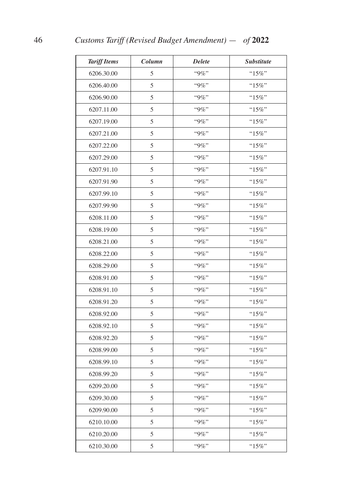| <b>Tariff Items</b> | Column | <b>Delete</b> | <b>Substitute</b> |
|---------------------|--------|---------------|-------------------|
| 6206.30.00          | 5      | "9%"          | " $15\%$ "        |
| 6206.40.00          | 5      | "9%"          | " $15\%$ "        |
| 6206.90.00          | 5      | "9%"          | "15%"             |
| 6207.11.00          | 5      | "9%"          | "15%"             |
| 6207.19.00          | 5      | $"9\%"$       | " $15\%$ "        |
| 6207.21.00          | 5      | "9%"          | "15%"             |
| 6207.22.00          | 5      | "9%"          | " $15\%$ "        |
| 6207.29.00          | 5      | "9%"          | "15%"             |
| 6207.91.10          | 5      | $"9\%"$       | "15%"             |
| 6207.91.90          | 5      | $"9\%"$       | " $15\%$ "        |
| 6207.99.10          | 5      | $``9\%"$      | "15%"             |
| 6207.99.90          | 5      | $"9\%"$       | "15%"             |
| 6208.11.00          | 5      | "9%"          | "15%"             |
| 6208.19.00          | 5      | $"9\%"$       | " $15\%$ "        |
| 6208.21.00          | 5      | $"9\%"$       | "15%"             |
| 6208.22.00          | 5      | "9%"          | $"15\%"$          |
| 6208.29.00          | 5      | "9%"          | $"15\%"$          |
| 6208.91.00          | 5      | "9%"          | "15%"             |
| 6208.91.10          | 5      | $"9\%"$       | " $15\%$ "        |
| 6208.91.20          | 5      | "9%"          | "15%"             |
| 6208.92.00          | 5      | $"9\%"$       | "15%"             |
| 6208.92.10          | 5      | $"9\%"$       | $"15\%"$          |
| 6208.92.20          | 5      | $``9\%"$      | "15%"             |
| 6208.99.00          | 5      | "9%"          | " $15\%$ "        |
| 6208.99.10          | 5      | "9%"          | " $15\%$ "        |
| 6208.99.20          | 5      | "9%"          | $"15\%"$          |
| 6209.20.00          | 5      | "9%"          | "15%"             |
| 6209.30.00          | 5      | "9%"          | " $15\%$ "        |
| 6209.90.00          | 5      | $``9\%"$      | "15%"             |
| 6210.10.00          | 5      | "9%"          | " $15\%$ "        |
| 6210.20.00          | 5      | "9%"          | $"15\%"$          |
| 6210.30.00          | 5      | "9%"          | " $15\%$ "        |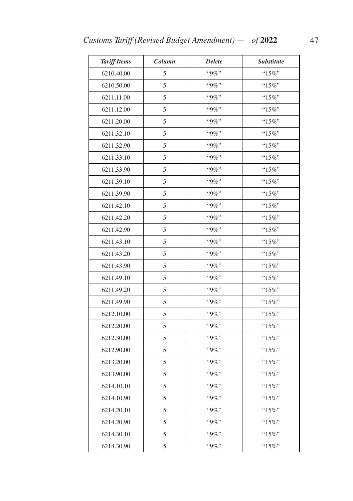| <b>Tariff Items</b> | Column | <b>Delete</b> | Substitute |
|---------------------|--------|---------------|------------|
| 6210.40.00          | 5      | "9%"          | "15%"      |
| 6210.50.00          | 5      | "9%"          | $"15\%"$   |
| 6211.11.00          | 5      | "9%"          | " $15\%$ " |
| 6211.12.00          | 5      | $"9\%"$       | " $15\%$ " |
| 6211.20.00          | 5      | "9%"          | " $15\%$ " |
| 6211.32.10          | 5      | "9%"          | " $15\%$ " |
| 6211.32.90          | 5      | "9%"          | " $15\%$ " |
| 6211.33.10          | 5      | "9%"          | " $15\%$ " |
| 6211.33.90          | 5      | $"9\%"$       | " $15\%$ " |
| 6211.39.10          | 5      | $"9\%"$       | "15%"      |
| 6211.39.90          | 5      | "9%"          | "15%"      |
| 6211.42.10          | 5      | "9%"          | " $15\%$ " |
| 6211.42.20          | 5      | "9%"          | " $15\%$ " |
| 6211.42.90          | 5      | "9%"          | " $15\%$ " |
| 6211.43.10          | 5      | "9%"          | " $15\%$ " |
| 6211.43.20          | 5      | $"9\%"$       | " $15\%$ " |
| 6211.43.90          | 5      | "9%"          | " $15\%$ " |
| 6211.49.10          | 5      | "9%"          | " $15\%$ " |
| 6211.49.20          | 5      | $"9\%"$       | " $15\%$ " |
| 6211.49.90          | 5      | "9%"          | "15%"      |
| 6212.10.00          | 5      | $"9\%"$       | " $15\%$ " |
| 6212.20.00          | 5      | $"9\%"$       | $``15\%"$  |
| 6212.30.00          | 5      | "9%"          | " $15\%$ " |
| 6212.90.00          | 5      | "9%"          | " $15\%$ " |
| 6213.20.00          | 5      | "9%"          | " $15\%$ " |
| 6213.90.00          | 5      | "9%"          | " $15\%$ " |
| 6214.10.10          | 5      | "9%"          | " $15\%$ " |
| 6214.10.90          | 5      | "9%"          | "15%"      |
| 6214.20.10          | 5      | "9%"          | "15%"      |
| 6214.20.90          | 5      | "9%"          | " $15\%$ " |
| 6214.30.10          | 5      | "9%"          | $"15\%"$   |
| 6214.30.90          | 5      | "9%"          | " $15\%$ " |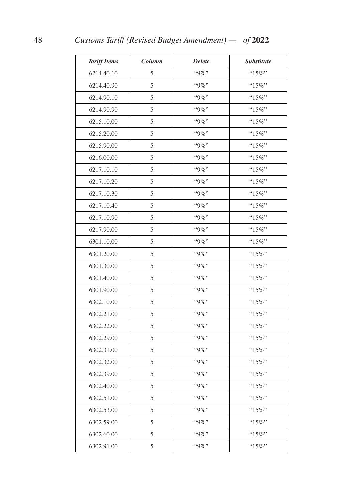| <b>Tariff Items</b> | Column | <b>Delete</b> | <b>Substitute</b> |
|---------------------|--------|---------------|-------------------|
| 6214.40.10          | 5      | "9%"          | "15%"             |
| 6214.40.90          | 5      | $"9\%"$       | " $15\%$ "        |
| 6214.90.10          | 5      | $"9\%"$       | " $15\%$ "        |
| 6214.90.90          | 5      | "9%"          | " $15\%$ "        |
| 6215.10.00          | 5      | "9%"          | "15%"             |
| 6215.20.00          | 5      | "9%"          | " $15\%$ "        |
| 6215.90.00          | 5      | "9%"          | " $15\%$ "        |
| 6216.00.00          | 5      | "9%"          | "15%"             |
| 6217.10.10          | 5      | $"9\%"$       | " $15\%$ "        |
| 6217.10.20          | 5      | "9%"          | " $15\%$ "        |
| 6217.10.30          | 5      | "9%"          | "15%"             |
| 6217.10.40          | 5      | $"9\%"$       | " $15\%$ "        |
| 6217.10.90          | 5      | "9%"          | " $15\%$ "        |
| 6217.90.00          | 5      | "9%"          | "15%"             |
| 6301.10.00          | 5      | "9%"          | "15%"             |
| 6301.20.00          | 5      | "9%"          | $"15\%"$          |
| 6301.30.00          | 5      | "9%"          | " $15\%$ "        |
| 6301.40.00          | 5      | $"9\%"$       | " $15\%$ "        |
| 6301.90.00          | 5      | $"9\%"$       | " $15\%$ "        |
| 6302.10.00          | 5      | $"9\%"$       | "15%"             |
| 6302.21.00          | 5      | $"9\%"$       | "15%"             |
| 6302.22.00          | 5      | $"9\%"$       | " $15\%$ "        |
| 6302.29.00          | 5      | "9%"          | "15%"             |
| 6302.31.00          | 5      | "9%"          | " $15\%$ "        |
| 6302.32.00          | 5      | $"9\%"$       | " $15\%$ "        |
| 6302.39.00          | 5      | "9%"          | " $15\%$ "        |
| 6302.40.00          | 5      | $"9\%"$       | "15%"             |
| 6302.51.00          | 5      | "9%"          | " $15\%$ "        |
| 6302.53.00          | 5      | "9%"          | "15%"             |
| 6302.59.00          | 5      | $"9\%"$       | " $15\%$ "        |
| 6302.60.00          | 5      | "9%"          | " $15\%$ "        |
| 6302.91.00          | 5      | $"9\%"$       | "15%"             |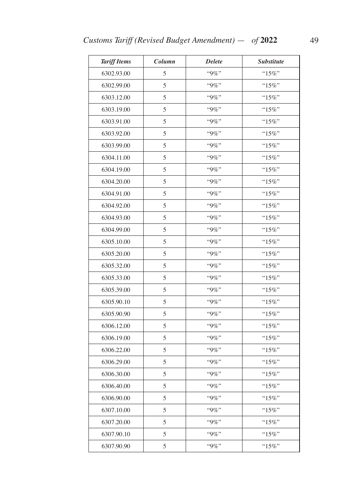| <b>Tariff Items</b> | Column | <b>Delete</b> | <b>Substitute</b> |
|---------------------|--------|---------------|-------------------|
| 6302.93.00          | 5      | "9%"          | "15%"             |
| 6302.99.00          | 5      | $"9\%"$       | " $15\%$ "        |
| 6303.12.00          | 5      | $"9\%"$       | "15%"             |
| 6303.19.00          | 5      | $"9\%"$       | " $15\%$ "        |
| 6303.91.00          | 5      | "9%"          | " $15\%$ "        |
| 6303.92.00          | 5      | "9%"          | " $15\%$ "        |
| 6303.99.00          | 5      | $"9\%"$       | " $15\%$ "        |
| 6304.11.00          | 5      | "9%"          | $"15\%"$          |
| 6304.19.00          | 5      | $"9\%"$       | " $15\%$ "        |
| 6304.20.00          | 5      | $"9\%"$       | "15%"             |
| 6304.91.00          | 5      | "9%"          | " $15\%$ "        |
| 6304.92.00          | 5      | $"9\%"$       | "15%"             |
| 6304.93.00          | 5      | $"9\%"$       | " $15\%$ "        |
| 6304.99.00          | 5      | "9%"          | " $15\%$ "        |
| 6305.10.00          | 5      | $"9\%"$       | "15%"             |
| 6305.20.00          | 5      | $"9\%"$       | " $15\%$ "        |
| 6305.32.00          | 5      | "9%"          | " $15\%$ "        |
| 6305.33.00          | 5      | "9%"          | "15%"             |
| 6305.39.00          | 5      | $"9\%"$       | " $15\%$ "        |
| 6305.90.10          | 5      | "9%"          | "15%"             |
| 6305.90.90          | 5      | $"9\%"$       | " $15\%$ "        |
| 6306.12.00          | 5      | $"9\%"$       | "15%"             |
| 6306.19.00          | 5      | $"9\%"$       | $"15\%"$          |
| 6306.22.00          | 5      | "9%"          | " $15\%$ "        |
| 6306.29.00          | 5      | "9%"          | "15%"             |
| 6306.30.00          | 5      | "9%"          | " $15\%$ "        |
| 6306.40.00          | 5      | "9%"          | " $15\%$ "        |
| 6306.90.00          | 5      | "9%"          | " $15\%$ "        |
| 6307.10.00          | 5      | "9%"          | $"15\%"$          |
| 6307.20.00          | 5      | "9%"          | " $15\%$ "        |
| 6307.90.10          | 5      | "9%"          | " $15\%$ "        |
| 6307.90.90          | 5      | "9%"          | " $15\%$ "        |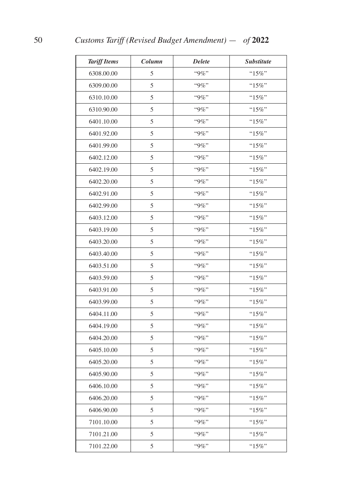| <b>Tariff Items</b> | Column | <b>Delete</b> | <b>Substitute</b> |
|---------------------|--------|---------------|-------------------|
| 6308.00.00          | 5      | "9%"          | "15%"             |
| 6309.00.00          | 5      | $"9\%"$       | "15%"             |
| 6310.10.00          | 5      | $"9\%"$       | " $15\%$ "        |
| 6310.90.00          | 5      | "9%"          | " $15\%$ "        |
| 6401.10.00          | 5      | "9%"          | " $15\%$ "        |
| 6401.92.00          | 5      | "9%"          | "15%"             |
| 6401.99.00          | 5      | $"9\%"$       | " $15\%$ "        |
| 6402.12.00          | 5      | $"9\%"$       | "15%"             |
| 6402.19.00          | 5      | $"9\%"$       | " $15\%$ "        |
| 6402.20.00          | 5      | "9%"          | " $15\%$ "        |
| 6402.91.00          | 5      | $``9\%"$      | "15%"             |
| 6402.99.00          | 5      | $"9\%"$       | "15%"             |
| 6403.12.00          | 5      | "9%"          | " $15\%$ "        |
| 6403.19.00          | 5      | $"9\%"$       | " $15\%$ "        |
| 6403.20.00          | 5      | $"9\%"$       | "15%"             |
| 6403.40.00          | 5      | "9%"          | $"15\%"$          |
| 6403.51.00          | 5      | "9%"          | " $15\%$ "        |
| 6403.59.00          | 5      | $"9\%"$       | "15%"             |
| 6403.91.00          | 5      | $"9\%"$       | " $15\%$ "        |
| 6403.99.00          | 5      | "9%"          | "15%"             |
| 6404.11.00          | 5      | $"9\%"$       | " $15\%$ "        |
| 6404.19.00          | 5      | $"9\%"$       | " $15\%$ "        |
| 6404.20.00          | 5      | $``9\%"$      | " $15\%$ "        |
| 6405.10.00          | 5      | $"9\%"$       | " $15\%$ "        |
| 6405.20.00          | 5      | $"9\%"$       | " $15\%$ "        |
| 6405.90.00          | 5      | "9%"          | " $15\%$ "        |
| 6406.10.00          | 5      | $"9\%"$       | " $15\%$ "        |
| 6406.20.00          | 5      | "9%"          | " $15\%$ "        |
| 6406.90.00          | 5      | $``9\%"$      | " $15\%$ "        |
| 7101.10.00          | 5      | $"9\%"$       | " $15\%$ "        |
| 7101.21.00          | 5      | "9%"          | " $15\%$ "        |
| 7101.22.00          | 5      | "9%"          | "15%"             |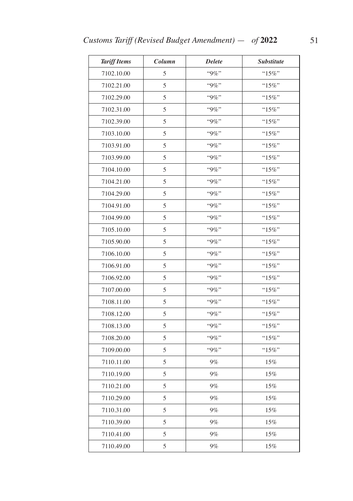| <b>Tariff Items</b> | Column | <b>Delete</b> | <b>Substitute</b> |
|---------------------|--------|---------------|-------------------|
| 7102.10.00          | 5      | "9%"          | $``15\%"$         |
| 7102.21.00          | 5      | "9%"          | " $15\%$ "        |
| 7102.29.00          | 5      | $``9\%"$      | "15%"             |
| 7102.31.00          | 5      | $"9\%"$       | "15%"             |
| 7102.39.00          | 5      | "9%"          | " $15\%$ "        |
| 7103.10.00          | 5      | $``9\%"$      | "15%"             |
| 7103.91.00          | 5      | $"9\%"$       | "15%"             |
| 7103.99.00          | 5      | "9%"          | $"15\%"$          |
| 7104.10.00          | 5      | "9%"          | " $15\%$ "        |
| 7104.21.00          | 5      | $"9\%"$       | "15%"             |
| 7104.29.00          | 5      | "9%"          | $"15\%"$          |
| 7104.91.00          | 5      | "9%"          | "15%"             |
| 7104.99.00          | 5      | "9%"          | "15%"             |
| 7105.10.00          | 5      | $"9\%"$       | " $15\%$ "        |
| 7105.90.00          | 5      | $``9\%"$      | "15%"             |
| 7106.10.00          | 5      | $"9\%"$       | " $15\%$ "        |
| 7106.91.00          | 5      | $"9\%"$       | $"15\%"$          |
| 7106.92.00          | 5      | "9%"          | " $15\%$ "        |
| 7107.00.00          | 5      | $"9\%"$       | "15%"             |
| 7108.11.00          | 5      | "9%"          | "15%"             |
| 7108.12.00          | 5      | $"9\%"$       | " $15\%$ "        |
| 7108.13.00          | 5      | "9%"          | "15%"             |
| 7108.20.00          | 5      | "9%"          | $"15\%"$          |
| 7109.00.00          | 5      | "9%"          | "15%"             |
| 7110.11.00          | 5      | $9\%$         | 15%               |
| 7110.19.00          | 5      | $9\%$         | $15\%$            |
| 7110.21.00          | 5      | $9\%$         | 15%               |
| 7110.29.00          | 5      | $9\%$         | 15%               |
| 7110.31.00          | 5      | $9\%$         | 15%               |
| 7110.39.00          | 5      | $9\%$         | $15\%$            |
| 7110.41.00          | 5      | $9\%$         | $15\%$            |
| 7110.49.00          | 5      | $9\%$         | $15\%$            |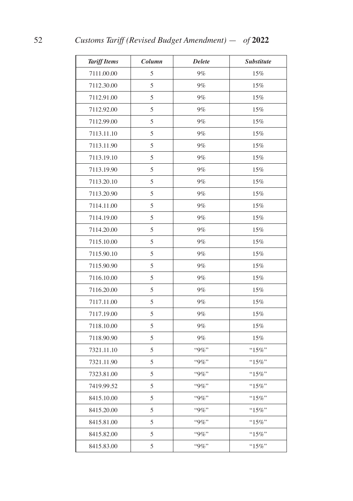| <b>Tariff Items</b> | Column        | <b>Delete</b> | <b>Substitute</b> |
|---------------------|---------------|---------------|-------------------|
| 7111.00.00          | 5             | 9%            | 15%               |
| 7112.30.00          | 5             | 9%            | $15\%$            |
| 7112.91.00          | 5             | $9\%$         | 15%               |
| 7112.92.00          | 5             | 9%            | 15%               |
| 7112.99.00          | 5             | $9\%$         | $15\%$            |
| 7113.11.10          | 5             | 9%            | 15%               |
| 7113.11.90          | 5             | 9%            | 15%               |
| 7113.19.10          | 5             | $9\%$         | 15%               |
| 7113.19.90          | 5             | $9\%$         | 15%               |
| 7113.20.10          | 5             | 9%            | 15%               |
| 7113.20.90          | 5             | $9\%$         | $15\%$            |
| 7114.11.00          | 5             | $9\%$         | 15%               |
| 7114.19.00          | 5             | 9%            | 15%               |
| 7114.20.00          | 5             | $9\%$         | 15%               |
| 7115.10.00          | 5             | 9%            | 15%               |
| 7115.90.10          | 5             | 9%            | 15%               |
| 7115.90.90          | 5             | $9\%$         | $15\%$            |
| 7116.10.00          | 5             | $9\%$         | 15%               |
| 7116.20.00          | 5             | $9\%$         | $15\%$            |
| 7117.11.00          | 5             | 9%            | 15%               |
| 7117.19.00          | 5             | $9\%$         | 15%               |
| 7118.10.00          | 5             | $9\%$         | 15%               |
| 7118.90.90          | 5             | $9\%$         | $15\%$            |
| 7321.11.10          | $\mathfrak s$ | $``9\%"$      | "15%"             |
| 7321.11.90          | 5             | "9%"          | " $15\%$ "        |
| 7323.81.00          | 5             | "9%"          | $"15\%"$          |
| 7419.99.52          | 5             | "9%"          | " $15\%$ "        |
| 8415.10.00          | 5             | $``9\%"$      | " $15\%$ "        |
| 8415.20.00          | 5             | "9%"          | " $15\%$ "        |
| 8415.81.00          | 5             | "9%"          | " $15\%$ "        |
| 8415.82.00          | 5             | "9%"          | $"15\%"$          |
| 8415.83.00          | 5             | "9%"          | " $15\%$ "        |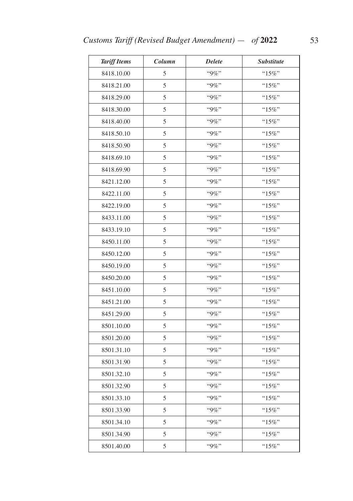| <b>Tariff Items</b> | Column | <b>Delete</b> | <b>Substitute</b> |
|---------------------|--------|---------------|-------------------|
| 8418.10.00          | 5      | "9%"          | "15%"             |
| 8418.21.00          | 5      | $``9\%"$      | " $15\%$ "        |
| 8418.29.00          | 5      | "9%"          | " $15\%$ "        |
| 8418.30.00          | 5      | "9%"          | " $15\%$ "        |
| 8418.40.00          | 5      | $"9\%"$       | "15%"             |
| 8418.50.10          | 5      | "9%"          | " $15\%$ "        |
| 8418.50.90          | 5      | $"9\%"$       | " $15\%$ "        |
| 8418.69.10          | 5      | "9%"          | "15%"             |
| 8418.69.90          | 5      | $"9\%"$       | " $15\%$ "        |
| 8421.12.00          | 5      | $"9\%"$       | $``15\%"$         |
| 8422.11.00          | 5      | $"9\%"$       | " $15\%$ "        |
| 8422.19.00          | 5      | "9%"          | "15%"             |
| 8433.11.00          | 5      | "9%"          | " $15\%$ "        |
| 8433.19.10          | 5      | "9%"          | " $15\%$ "        |
| 8450.11.00          | 5      | "9%"          | " $15\%$ "        |
| 8450.12.00          | 5      | "9%"          | " $15\%$ "        |
| 8450.19.00          | 5      | $"9\%"$       | "15%"             |
| 8450.20.00          | 5      | "9%"          | " $15\%$ "        |
| 8451.10.00          | 5      | $"9\%"$       | " $15\%$ "        |
| 8451.21.00          | 5      | "9%"          | "15%"             |
| 8451.29.00          | 5      | $"9\%"$       | " $15\%$ "        |
| 8501.10.00          | 5      | $"9\%"$       | " $15\%$ "        |
| 8501.20.00          | 5      | $"9\%"$       | " $15\%$ "        |
| 8501.31.10          | 5      | "9%"          | "15%"             |
| 8501.31.90          | 5      | $``9\%"$      | "15%"             |
| 8501.32.10          | 5      | "9%"          | $"15\%"$          |
| 8501.32.90          | 5      | "9%"          | "15%"             |
| 8501.33.10          | 5      | $"9\%"$       | "15%"             |
| 8501.33.90          | 5      | "9%"          | " $15\%$ "        |
| 8501.34.10          | 5      | $"9\%"$       | " $15\%$ "        |
| 8501.34.90          | 5      | "9%"          | "15%"             |
| 8501.40.00          | 5      | $``9\%"$      | " $15\%$ "        |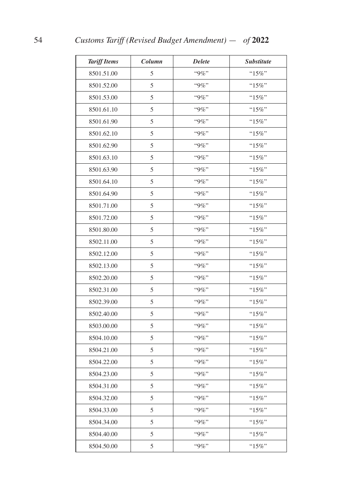| <b>Tariff Items</b> | Column | <b>Delete</b> | <b>Substitute</b> |
|---------------------|--------|---------------|-------------------|
| 8501.51.00          | 5      | "9%"          | "15%"             |
| 8501.52.00          | 5      | $"9\%"$       | " $15\%$ "        |
| 8501.53.00          | 5      | $"9\%"$       | " $15\%$ "        |
| 8501.61.10          | 5      | "9%"          | " $15\%$ "        |
| 8501.61.90          | 5      | "9%"          | "15%"             |
| 8501.62.10          | 5      | "9%"          | " $15\%$ "        |
| 8501.62.90          | 5      | "9%"          | " $15\%$ "        |
| 8501.63.10          | 5      | "9%"          | "15%"             |
| 8501.63.90          | 5      | $"9\%"$       | " $15\%$ "        |
| 8501.64.10          | 5      | "9%"          | " $15\%$ "        |
| 8501.64.90          | 5      | "9%"          | "15%"             |
| 8501.71.00          | 5      | $"9\%"$       | " $15\%$ "        |
| 8501.72.00          | 5      | "9%"          | " $15\%$ "        |
| 8501.80.00          | 5      | "9%"          | " $15\%$ "        |
| 8502.11.00          | 5      | "9%"          | "15%"             |
| 8502.12.00          | 5      | "9%"          | $"15\%"$          |
| 8502.13.00          | 5      | "9%"          | " $15\%$ "        |
| 8502.20.00          | 5      | $"9\%"$       | " $15\%$ "        |
| 8502.31.00          | 5      | $"9\%"$       | " $15\%$ "        |
| 8502.39.00          | 5      | $"9\%"$       | "15%"             |
| 8502.40.00          | 5      | $"9\%"$       | " $15\%$ "        |
| 8503.00.00          | 5      | $"9\%"$       | " $15\%$ "        |
| 8504.10.00          | 5      | "9%"          | "15%"             |
| 8504.21.00          | 5      | "9%"          | " $15\%$ "        |
| 8504.22.00          | 5      | $"9\%"$       | " $15\%$ "        |
| 8504.23.00          | 5      | "9%"          | $"15\%"$          |
| 8504.31.00          | 5      | $"9\%"$       | " $15\%$ "        |
| 8504.32.00          | 5      | "9%"          | " $15\%$ "        |
| 8504.33.00          | 5      | "9%"          | " $15\%$ "        |
| 8504.34.00          | 5      | "9%"          | " $15\%$ "        |
| 8504.40.00          | 5      | "9%"          | " $15\%$ "        |
| 8504.50.00          | 5      | $"9\%"$       | " $15\%$ "        |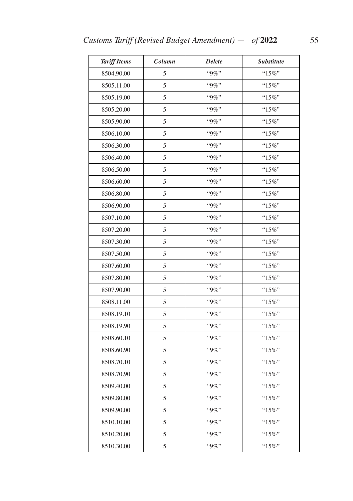| <b>Tariff Items</b> | Column | <b>Delete</b> | <b>Substitute</b> |
|---------------------|--------|---------------|-------------------|
| 8504.90.00          | 5      | "9%"          | "15%"             |
| 8505.11.00          | 5      | "9%"          | " $15\%$ "        |
| 8505.19.00          | 5      | "9%"          | "15%"             |
| 8505.20.00          | 5      | "9%"          | "15%"             |
| 8505.90.00          | 5      | $"9\%"$       | "15%"             |
| 8506.10.00          | 5      | "9%"          | $"15\%"$          |
| 8506.30.00          | 5      | $"9\%"$       | " $15\%$ "        |
| 8506.40.00          | 5      | "9%"          | "15%"             |
| 8506.50.00          | 5      | $"9\%"$       | " $15\%$ "        |
| 8506.60.00          | 5      | "9%"          | "15%"             |
| 8506.80.00          | 5      | "9%"          | "15%"             |
| 8506.90.00          | 5      | $"9\%"$       | " $15\%$ "        |
| 8507.10.00          | 5      | "9%"          | " $15\%$ "        |
| 8507.20.00          | 5      | $"9\%"$       | " $15\%$ "        |
| 8507.30.00          | 5      | "9%"          | " $15\%$ "        |
| 8507.50.00          | 5      | $"9\%"$       | " $15\%$ "        |
| 8507.60.00          | 5      | $"9\%"$       | "15%"             |
| 8507.80.00          | 5      | "9%"          | $"15\%"$          |
| 8507.90.00          | 5      | $"9\%"$       | " $15\%$ "        |
| 8508.11.00          | 5      | $"9\%"$       | " $15\%$ "        |
| 8508.19.10          | 5      | $"9\%"$       | " $15\%$ "        |
| 8508.19.90          | 5      | "9%"          | "15%"             |
| 8508.60.10          | 5      | $"9\%"$       | " $15\%$ "        |
| 8508.60.90          | 5      | $"9\%"$       | " $15\%$ "        |
| 8508.70.10          | 5      | "9%"          | " $15\%$ "        |
| 8508.70.90          | 5      | "9%"          | "15%"             |
| 8509.40.00          | 5      | "9%"          | " $15\%$ "        |
| 8509.80.00          | 5      | "9%"          | " $15\%$ "        |
| 8509.90.00          | 5      | $"9\%"$       | " $15\%$ "        |
| 8510.10.00          | 5      | "9%"          | " $15\%$ "        |
| 8510.20.00          | 5      | "9%"          | "15%"             |
| 8510.30.00          | 5      | $"9\%"$       | " $15\%$ "        |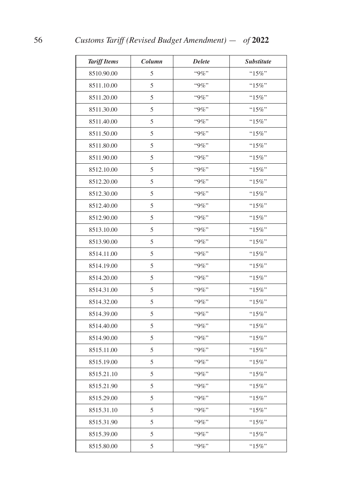| <b>Tariff Items</b> | Column | <b>Delete</b> | <b>Substitute</b> |
|---------------------|--------|---------------|-------------------|
| 8510.90.00          | 5      | "9%"          | "15%"             |
| 8511.10.00          | 5      | $"9\%"$       | "15%"             |
| 8511.20.00          | 5      | $"9\%"$       | " $15\%$ "        |
| 8511.30.00          | 5      | "9%"          | " $15\%$ "        |
| 8511.40.00          | 5      | "9%"          | " $15\%$ "        |
| 8511.50.00          | 5      | $"9\%"$       | "15%"             |
| 8511.80.00          | 5      | "9%"          | " $15\%$ "        |
| 8511.90.00          | 5      | $"9\%"$       | "15%"             |
| 8512.10.00          | 5      | $"9\%"$       | " $15\%$ "        |
| 8512.20.00          | 5      | "9%"          | " $15\%$ "        |
| 8512.30.00          | 5      | $``9\%"$      | "15%"             |
| 8512.40.00          | 5      | $"9\%"$       | "15%"             |
| 8512.90.00          | 5      | "9%"          | " $15\%$ "        |
| 8513.10.00          | 5      | "9%"          | " $15\%$ "        |
| 8513.90.00          | 5      | "9%"          | "15%"             |
| 8514.11.00          | 5      | "9%"          | $"15\%"$          |
| 8514.19.00          | 5      | "9%"          | " $15\%$ "        |
| 8514.20.00          | 5      | "9%"          | " $15\%$ "        |
| 8514.31.00          | 5      | $"9\%"$       | " $15\%$ "        |
| 8514.32.00          | 5      | $"9\%"$       | "15%"             |
| 8514.39.00          | 5      | $"9\%"$       | " $15\%$ "        |
| 8514.40.00          | 5      | $"9\%"$       | " $15\%$ "        |
| 8514.90.00          | 5      | "9%"          | "15%"             |
| 8515.11.00          | 5      | "9%"          | " $15\%$ "        |
| 8515.19.00          | 5      | $"9\%"$       | " $15\%$ "        |
| 8515.21.10          | 5      | "9%"          | " $15\%$ "        |
| 8515.21.90          | 5      | "9%"          | "15%"             |
| 8515.29.00          | 5      | "9%"          | " $15\%$ "        |
| 8515.31.10          | 5      | "9%"          | "15%"             |
| 8515.31.90          | 5      | "9%"          | " $15\%$ "        |
| 8515.39.00          | 5      | "9%"          | " $15\%$ "        |
| 8515.80.00          | 5      | $"9\%"$       | "15%"             |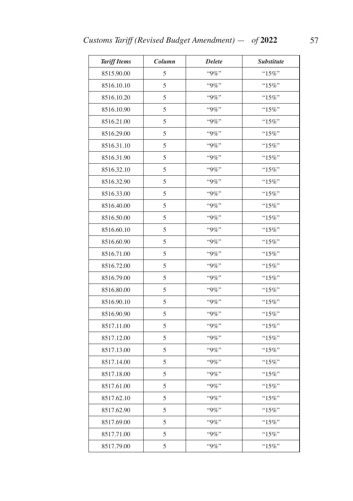| <b>Tariff Items</b> | Column | <b>Delete</b> | <b>Substitute</b> |
|---------------------|--------|---------------|-------------------|
| 8515.90.00          | 5      | "9%"          | "15%"             |
| 8516.10.10          | 5      | "9%"          | " $15\%$ "        |
| 8516.10.20          | 5      | "9%"          | "15%"             |
| 8516.10.90          | 5      | $"9\%"$       | " $15\%$ "        |
| 8516.21.00          | 5      | "9%"          | " $15\%$ "        |
| 8516.29.00          | 5      | "9%"          | " $15\%$ "        |
| 8516.31.10          | 5      | $"9\%"$       | " $15\%$ "        |
| 8516.31.90          | 5      | "9%"          | " $15\%$ "        |
| 8516.32.10          | 5      | $"9\%"$       | " $15\%$ "        |
| 8516.32.90          | 5      | $"9\%"$       | "15%"             |
| 8516.33.00          | 5      | "9%"          | "15%"             |
| 8516.40.00          | 5      | $"9\%"$       | "15%"             |
| 8516.50.00          | 5      | $"9\%"$       | " $15\%$ "        |
| 8516.60.10          | 5      | "9%"          | " $15\%$ "        |
| 8516.60.90          | 5      | "9%"          | "15%"             |
| 8516.71.00          | 5      | $"9\%"$       | " $15\%$ "        |
| 8516.72.00          | 5      | $"9\%"$       | " $15\%$ "        |
| 8516.79.00          | 5      | "9%"          | " $15\%$ "        |
| 8516.80.00          | 5      | $"9\%"$       | " $15\%$ "        |
| 8516.90.10          | 5      | "9%"          | "15%"             |
| 8516.90.90          | 5      | $"9\%"$       | " $15\%$ "        |
| 8517.11.00          | 5      | $"9\%"$       | " $15\%$ "        |
| 8517.12.00          | 5      | $"9\%"$       | "15%"             |
| 8517.13.00          | 5      | "9%"          | " $15\%$ "        |
| 8517.14.00          | 5      | "9%"          | "15%"             |
| 8517.18.00          | 5      | "9%"          | $"15\%"$          |
| 8517.61.00          | 5      | "9%"          | "15%"             |
| 8517.62.10          | 5      | "9%"          | "15%"             |
| 8517.62.90          | 5      | "9%"          | " $15\%$ "        |
| 8517.69.00          | 5      | "9%"          | " $15\%$ "        |
| 8517.71.00          | 5      | "9%"          | $"15\%"$          |
| 8517.79.00          | 5      | "9%"          | "15%"             |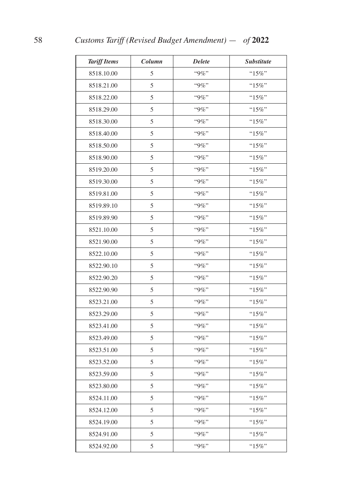| <b>Tariff Items</b> | Column | <b>Delete</b> | <b>Substitute</b> |
|---------------------|--------|---------------|-------------------|
| 8518.10.00          | 5      | "9%"          | "15%"             |
| 8518.21.00          | 5      | $"9\%"$       | "15%"             |
| 8518.22.00          | 5      | $"9\%"$       | " $15\%$ "        |
| 8518.29.00          | 5      | "9%"          | " $15\%$ "        |
| 8518.30.00          | 5      | "9%"          | " $15\%$ "        |
| 8518.40.00          | 5      | $"9\%"$       | " $15\%$ "        |
| 8518.50.00          | 5      | $"9\%"$       | " $15\%$ "        |
| 8518.90.00          | 5      | $"9\%"$       | "15%"             |
| 8519.20.00          | 5      | $"9\%"$       | " $15\%$ "        |
| 8519.30.00          | 5      | "9%"          | " $15\%$ "        |
| 8519.81.00          | 5      | $``9\%"$      | "15%"             |
| 8519.89.10          | 5      | $"9\%"$       | " $15\%$ "        |
| 8519.89.90          | 5      | "9%"          | " $15\%$ "        |
| 8521.10.00          | 5      | $"9\%"$       | "15%"             |
| 8521.90.00          | 5      | $"9\%"$       | "15%"             |
| 8522.10.00          | 5      | "9%"          | $"15\%"$          |
| 8522.90.10          | 5      | "9%"          | " $15\%$ "        |
| 8522.90.20          | 5      | $"9\%"$       | " $15\%$ "        |
| 8522.90.90          | 5      | $"9\%"$       | " $15\%$ "        |
| 8523.21.00          | 5      | $"9\%"$       | "15%"             |
| 8523.29.00          | 5      | $"9\%"$       | " $15\%$ "        |
| 8523.41.00          | 5      | $"9\%"$       | " $15\%$ "        |
| 8523.49.00          | 5      | "9%"          | " $15\%$ "        |
| 8523.51.00          | 5      | $"9\%"$       | " $15\%$ "        |
| 8523.52.00          | 5      | $"9\%"$       | " $15\%$ "        |
| 8523.59.00          | 5      | "9%"          | " $15\%$ "        |
| 8523.80.00          | 5      | $"9\%"$       | " $15\%$ "        |
| 8524.11.00          | 5      | "9%"          | " $15\%$ "        |
| 8524.12.00          | 5      | "9%"          | "15%"             |
| 8524.19.00          | 5      | $"9\%"$       | " $15\%$ "        |
| 8524.91.00          | 5      | "9%"          | " $15\%$ "        |
| 8524.92.00          | 5      | $"9\%"$       | "15%"             |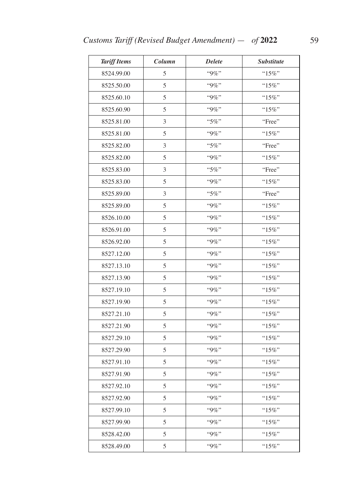| <b>Tariff Items</b> | Column | <b>Delete</b> | <b>Substitute</b> |
|---------------------|--------|---------------|-------------------|
| 8524.99.00          | 5      | "9%"          | "15%"             |
| 8525.50.00          | 5      | "9%"          | " $15\%$ "        |
| 8525.60.10          | 5      | $"9\%"$       | "15%"             |
| 8525.60.90          | 5      | $"9\%"$       | " $15\%$ "        |
| 8525.81.00          | 3      | "5%"          | "Free"            |
| 8525.81.00          | 5      | "9%"          | "15%"             |
| 8525.82.00          | 3      | "5%"          | "Free"            |
| 8525.82.00          | 5      | "9%"          | $"15\%"$          |
| 8525.83.00          | 3      | "5%"          | "Free"            |
| 8525.83.00          | 5      | $"9\%"$       | " $15\%$ "        |
| 8525.89.00          | 3      | "5%"          | "Free"            |
| 8525.89.00          | 5      | $"9\%"$       | " $15\%$ "        |
| 8526.10.00          | 5      | $"9\%"$       | " $15\%$ "        |
| 8526.91.00          | 5      | "9%"          | " $15\%$ "        |
| 8526.92.00          | 5      | $"9\%"$       | "15%"             |
| 8527.12.00          | 5      | $"9\%"$       | " $15\%$ "        |
| 8527.13.10          | 5      | "9%"          | " $15\%$ "        |
| 8527.13.90          | 5      | "9%"          | " $15\%$ "        |
| 8527.19.10          | 5      | $"9\%"$       | " $15\%$ "        |
| 8527.19.90          | 5      | $"9\%"$       | " $15\%$ "        |
| 8527.21.10          | 5      | $"9\%"$       | " $15\%$ "        |
| 8527.21.90          | 5      | $"9\%"$       | "15%"             |
| 8527.29.10          | 5      | $"9\%"$       | "15%"             |
| 8527.29.90          | 5      | "9%"          | " $15\%$ "        |
| 8527.91.10          | 5      | "9%"          | " $15\%$ "        |
| 8527.91.90          | 5      | "9%"          | " $15\%$ "        |
| 8527.92.10          | 5      | "9%"          | " $15\%$ "        |
| 8527.92.90          | 5      | $"9\%"$       | " $15\%$ "        |
| 8527.99.10          | 5      | "9%"          | " $15\%$ "        |
| 8527.99.90          | 5      | "9%"          | " $15\%$ "        |
| 8528.42.00          | 5      | "9%"          | " $15\%$ "        |
| 8528.49.00          | 5      | $"9\%"$       | " $15\%$ "        |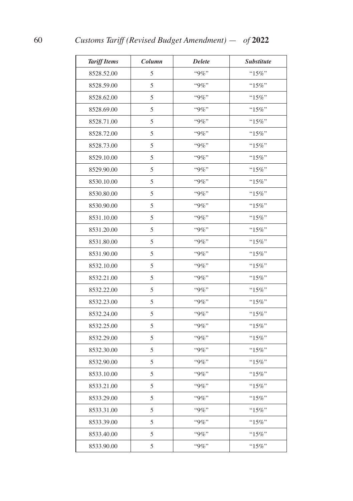| <b>Tariff Items</b> | Column | <b>Delete</b> | <i><b>Substitute</b></i> |
|---------------------|--------|---------------|--------------------------|
| 8528.52.00          | 5      | "9%"          | "15%"                    |
| 8528.59.00          | 5      | $"9\%"$       | " $15\%$ "               |
| 8528.62.00          | 5      | $"9\%"$       | " $15\%$ "               |
| 8528.69.00          | 5      | "9%"          | " $15\%$ "               |
| 8528.71.00          | 5      | "9%"          | " $15\%$ "               |
| 8528.72.00          | 5      | $"9\%"$       | "15%"                    |
| 8528.73.00          | 5      | $"9\%"$       | " $15\%$ "               |
| 8529.10.00          | 5      | $"9\%"$       | "15%"                    |
| 8529.90.00          | 5      | $"9\%"$       | " $15\%$ "               |
| 8530.10.00          | 5      | "9%"          | " $15\%$ "               |
| 8530.80.00          | 5      | "9%"          | "15%"                    |
| 8530.90.00          | 5      | $"9\%"$       | "15%"                    |
| 8531.10.00          | 5      | "9%"          | " $15\%$ "               |
| 8531.20.00          | 5      | $"9\%"$       | "15%"                    |
| 8531.80.00          | 5      | $"9\%"$       | "15%"                    |
| 8531.90.00          | 5      | "9%"          | $"15\%"$                 |
| 8532.10.00          | 5      | "9%"          | " $15\%$ "               |
| 8532.21.00          | 5      | $"9\%"$       | "15%"                    |
| 8532.22.00          | 5      | $"9\%"$       | " $15\%$ "               |
| 8532.23.00          | 5      | $"9\%"$       | "15%"                    |
| 8532.24.00          | 5      | $"9\%"$       | " $15\%$ "               |
| 8532.25.00          | 5      | $"9\%"$       | " $15\%$ "               |
| 8532.29.00          | 5      | "9%"          | "15%"                    |
| 8532.30.00          | 5      | $"9\%"$       | " $15\%$ "               |
| 8532.90.00          | 5      | $"9\%"$       | " $15\%$ "               |
| 8533.10.00          | 5      | "9%"          | " $15\%$ "               |
| 8533.21.00          | 5      | $"9\%"$       | "15%"                    |
| 8533.29.00          | 5      | "9%"          | " $15\%$ "               |
| 8533.31.00          | 5      | "9%"          | "15%"                    |
| 8533.39.00          | 5      | $"9\%"$       | " $15\%$ "               |
| 8533.40.00          | 5      | "9%"          | " $15\%$ "               |
| 8533.90.00          | 5      | $"9\%"$       | " $15\%$ "               |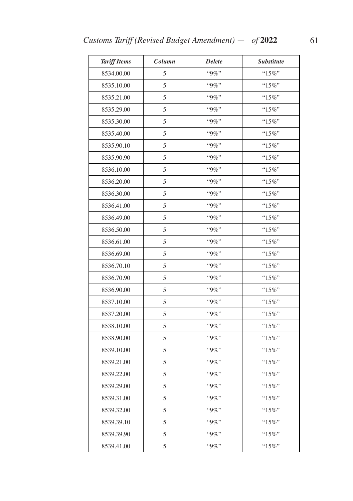| <b>Tariff Items</b> | Column | <b>Delete</b> | <b>Substitute</b> |
|---------------------|--------|---------------|-------------------|
| 8534.00.00          | 5      | "9%"          | " $15\%$ "        |
| 8535.10.00          | 5      | $"9\%"$       | " $15\%$ "        |
| 8535.21.00          | 5      | "9%"          | "15%"             |
| 8535.29.00          | 5      | $"9\%"$       | " $15\%$ "        |
| 8535.30.00          | 5      | "9%"          | " $15\%$ "        |
| 8535.40.00          | 5      | "9%"          | "15%"             |
| 8535.90.10          | 5      | $"9\%"$       | " $15\%$ "        |
| 8535.90.90          | 5      | "9%"          | " $15\%$ "        |
| 8536.10.00          | 5      | $"9\%"$       | "15%"             |
| 8536.20.00          | 5      | $"9\%"$       | " $15\%$ "        |
| 8536.30.00          | 5      | "9%"          | " $15\%$ "        |
| 8536.41.00          | 5      | "9%"          | " $15\%$ "        |
| 8536.49.00          | 5      | "9%"          | "15%"             |
| 8536.50.00          | 5      | $"9\%"$       | " $15\%$ "        |
| 8536.61.00          | 5      | "9%"          | "15%"             |
| 8536.69.00          | 5      | $"9\%"$       | " $15\%$ "        |
| 8536.70.10          | 5      | $"9\%"$       | " $15\%$ "        |
| 8536.70.90          | 5      | "9%"          | "15%"             |
| 8536.90.00          | 5      | $"9\%"$       | " $15\%$ "        |
| 8537.10.00          | 5      | "9%"          | "15%"             |
| 8537.20.00          | 5      | $"9\%"$       | " $15\%$ "        |
| 8538.10.00          | 5      | $"9\%"$       | "15%"             |
| 8538.90.00          | 5      | "9%"          | "15%"             |
| 8539.10.00          | 5      | "9%"          | " $15\%$ "        |
| 8539.21.00          | 5      | "9%"          | "15%"             |
| 8539.22.00          | 5      | "9%"          | "15%"             |
| 8539.29.00          | 5      | "9%"          | " $15\%$ "        |
| 8539.31.00          | 5      | "9%"          | " $15\%$ "        |
| 8539.32.00          | 5      | $``9\%"$      | " $15\%$ "        |
| 8539.39.10          | 5      | "9%"          | " $15\%$ "        |
| 8539.39.90          | 5      | "9%"          | " $15\%$ "        |
| 8539.41.00          | 5      | $"9\%"$       | " $15\%$ "        |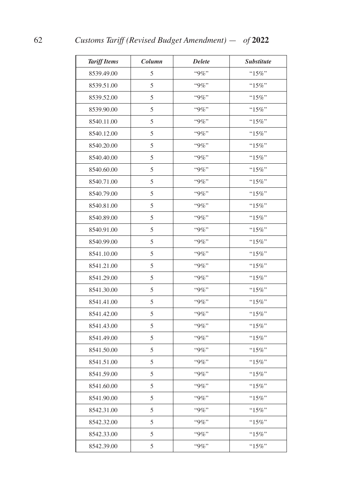| <b>Tariff Items</b> | Column | <b>Delete</b> | <b>Substitute</b> |
|---------------------|--------|---------------|-------------------|
| 8539.49.00          | 5      | "9%"          | "15%"             |
| 8539.51.00          | 5      | $"9\%"$       | "15%"             |
| 8539.52.00          | 5      | $"9\%"$       | " $15\%$ "        |
| 8539.90.00          | 5      | "9%"          | " $15\%$ "        |
| 8540.11.00          | 5      | "9%"          | "15%"             |
| 8540.12.00          | 5      | "9%"          | " $15\%$ "        |
| 8540.20.00          | 5      | "9%"          | "15%"             |
| 8540.40.00          | 5      | $"9\%"$       | "15%"             |
| 8540.60.00          | 5      | $"9\%"$       | " $15\%$ "        |
| 8540.71.00          | 5      | "9%"          | " $15\%$ "        |
| 8540.79.00          | 5      | "9%"          | "15%"             |
| 8540.81.00          | 5      | $"9\%"$       | " $15\%$ "        |
| 8540.89.00          | 5      | "9%"          | " $15\%$ "        |
| 8540.91.00          | 5      | $"9\%"$       | "15%"             |
| 8540.99.00          | 5      | $"9\%"$       | "15%"             |
| 8541.10.00          | 5      | "9%"          | " $15\%$ "        |
| 8541.21.00          | 5      | "9%"          | " $15\%$ "        |
| 8541.29.00          | 5      | "9%"          | " $15\%$ "        |
| 8541.30.00          | 5      | $"9\%"$       | " $15\%$ "        |
| 8541.41.00          | 5      | $"9\%"$       | "15%"             |
| 8541.42.00          | 5      | $"9\%"$       | " $15\%$ "        |
| 8541.43.00          | 5      | $"9\%"$       | " $15\%$ "        |
| 8541.49.00          | 5      | "9%"          | "15%"             |
| 8541.50.00          | 5      | "9%"          | " $15\%$ "        |
| 8541.51.00          | 5      | $"9\%"$       | " $15\%$ "        |
| 8541.59.00          | 5      | "9%"          | " $15\%$ "        |
| 8541.60.00          | 5      | $"9\%"$       | " $15\%$ "        |
| 8541.90.00          | 5      | "9%"          | " $15\%$ "        |
| 8542.31.00          | 5      | "9%"          | "15%"             |
| 8542.32.00          | 5      | $"9\%"$       | " $15\%$ "        |
| 8542.33.00          | 5      | "9%"          | "15%"             |
| 8542.39.00          | 5      | $"9\%"$       | " $15\%$ "        |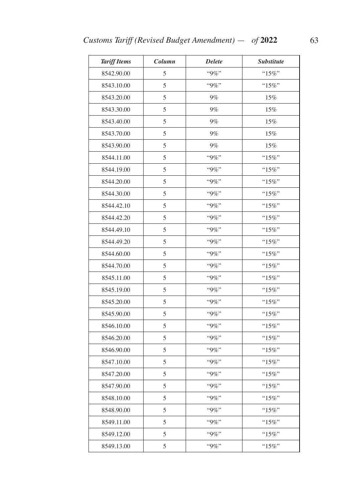| <b>Tariff Items</b> | Column | <b>Delete</b> | Substitute |
|---------------------|--------|---------------|------------|
| 8542.90.00          | 5      | $``9\%"$      | " $15\%$ " |
| 8543.10.00          | 5      | $"9\%"$       | " $15\%$ " |
| 8543.20.00          | 5      | $9\%$         | 15%        |
| 8543.30.00          | 5      | $9\%$         | 15%        |
| 8543.40.00          | 5      | $9\%$         | 15%        |
| 8543.70.00          | 5      | $9\%$         | 15%        |
| 8543.90.00          | 5      | $9\%$         | 15%        |
| 8544.11.00          | 5      | "9%"          | $"15\%"$   |
| 8544.19.00          | 5      | $"9\%"$       | $"15\%"$   |
| 8544.20.00          | 5      | $"9\%"$       | " $15\%$ " |
| 8544.30.00          | 5      | "9%"          | " $15\%$ " |
| 8544.42.10          | 5      | "9%"          | " $15\%$ " |
| 8544.42.20          | 5      | "9%"          | "15%"      |
| 8544.49.10          | 5      | "9%"          | $"15\%"$   |
| 8544.49.20          | 5      | "9%"          | "15%"      |
| 8544.60.00          | 5      | $"9\%"$       | "15%"      |
| 8544.70.00          | 5      | "9%"          | " $15\%$ " |
| 8545.11.00          | 5      | "9%"          | " $15\%$ " |
| 8545.19.00          | 5      | $"9\%"$       | " $15\%$ " |
| 8545.20.00          | 5      | "9%"          | " $15\%$ " |
| 8545.90.00          | 5      | $"9\%"$       | $"15\%"$   |
| 8546.10.00          | 5      | $"9\%"$       | " $15\%$ " |
| 8546.20.00          | 5      | "9%"          | " $15\%$ " |
| 8546.90.00          | 5      | "9%"          | " $15\%$ " |
| 8547.10.00          | 5      | "9%"          | $"15\%"$   |
| 8547.20.00          | 5      | "9%"          | " $15\%$ " |
| 8547.90.00          | 5      | $"9\%"$       | "15%"      |
| 8548.10.00          | 5      | $"9\%"$       | "15%"      |
| 8548.90.00          | 5      | "9%"          | " $15\%$ " |
| 8549.11.00          | 5      | "9%"          | " $15\%$ " |
| 8549.12.00          | 5      | "9%"          | " $15\%$ " |
| 8549.13.00          | 5      | $"9\%"$       | " $15\%$ " |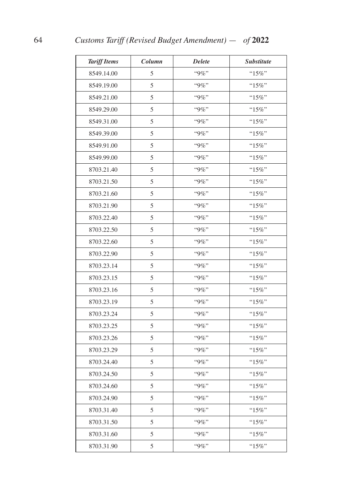| <b>Tariff Items</b> | Column | <b>Delete</b> | <b>Substitute</b> |
|---------------------|--------|---------------|-------------------|
| 8549.14.00          | 5      | $``9\%"$      | " $15\%$ "        |
| 8549.19.00          | 5      | "9%"          | " $15\%$ "        |
| 8549.21.00          | 5      | "9%"          | "15%"             |
| 8549.29.00          | 5      | $``9\%"$      | "15%"             |
| 8549.31.00          | 5      | $"9\%"$       | " $15\%$ "        |
| 8549.39.00          | 5      | "9%"          | "15%"             |
| 8549.91.00          | 5      | "9%"          | " $15\%$ "        |
| 8549.99.00          | 5      | "9%"          | "15%"             |
| 8703.21.40          | 5      | $"9\%"$       | "15%"             |
| 8703.21.50          | 5      | $"9\%"$       | " $15\%$ "        |
| 8703.21.60          | 5      | $``9\%"$      | "15%"             |
| 8703.21.90          | 5      | $"9\%"$       | " $15\%$ "        |
| 8703.22.40          | 5      | "9%"          | "15%"             |
| 8703.22.50          | 5      | $"9\%"$       | " $15\%$ "        |
| 8703.22.60          | 5      | $"9\%"$       | "15%"             |
| 8703.22.90          | 5      | "9%"          | " $15\%$ "        |
| 8703.23.14          | 5      | $"9\%"$       | " $15\%$ "        |
| 8703.23.15          | 5      | "9%"          | "15%"             |
| 8703.23.16          | 5      | $"9\%"$       | " $15\%$ "        |
| 8703.23.19          | 5      | "9%"          | "15%"             |
| 8703.23.24          | 5      | $"9\%"$       | " $15\%$ "        |
| 8703.23.25          | 5      | $"9\%"$       | " $15\%$ "        |
| 8703.23.26          | 5      | $``9\%"$      | "15%"             |
| 8703.23.29          | 5      | "9%"          | " $15\%$ "        |
| 8703.24.40          | 5      | "9%"          | " $15\%$ "        |
| 8703.24.50          | 5      | "9%"          | $"15\%"$          |
| 8703.24.60          | 5      | "9%"          | " $15\%$ "        |
| 8703.24.90          | 5      | "9%"          | "15%"             |
| 8703.31.40          | 5      | $``9\%"$      | "15%"             |
| 8703.31.50          | 5      | "9%"          | " $15\%$ "        |
| 8703.31.60          | 5      | "9%"          | " $15\%$ "        |
| 8703.31.90          | 5      | "9%"          | " $15\%$ "        |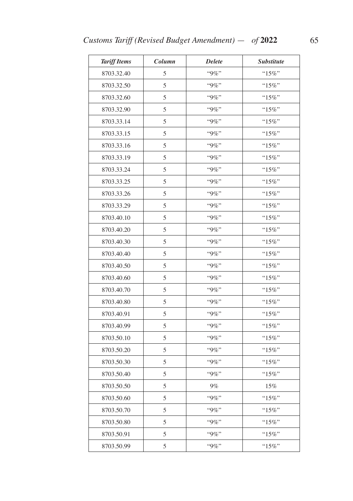| <b>Tariff Items</b> | Column | <b>Delete</b> | <b>Substitute</b> |
|---------------------|--------|---------------|-------------------|
| 8703.32.40          | 5      | "9%"          | "15%"             |
| 8703.32.50          | 5      | "9%"          | " $15\%$ "        |
| 8703.32.60          | 5      | "9%"          | "15%"             |
| 8703.32.90          | 5      | $"9\%"$       | " $15\%$ "        |
| 8703.33.14          | 5      | $"9\%"$       | " $15\%$ "        |
| 8703.33.15          | 5      | "9%"          | "15%"             |
| 8703.33.16          | 5      | "9%"          | " $15\%$ "        |
| 8703.33.19          | 5      | "9%"          | "15%"             |
| 8703.33.24          | 5      | $"9\%"$       | " $15\%$ "        |
| 8703.33.25          | 5      | $"9\%"$       | " $15\%$ "        |
| 8703.33.26          | 5      | "9%"          | "15%"             |
| 8703.33.29          | 5      | "9%"          | "15%"             |
| 8703.40.10          | 5      | "9%"          | "15%"             |
| 8703.40.20          | 5      | "9%"          | " $15\%$ "        |
| 8703.40.30          | 5      | "9%"          | "15%"             |
| 8703.40.40          | 5      | $"9\%"$       | " $15\%$ "        |
| 8703.40.50          | 5      | $"9\%"$       | "15%"             |
| 8703.40.60          | 5      | "9%"          | $``15\%"$         |
| 8703.40.70          | 5      | "9%"          | " $15\%$ "        |
| 8703.40.80          | 5      | "9%"          | "15%"             |
| 8703.40.91          | 5      | "9%"          | " $15\%$ "        |
| 8703.40.99          | 5      | "9%"          | " $15\%$ "        |
| 8703.50.10          | 5      | $"9\%"$       | "15%"             |
| 8703.50.20          | 5      | "9%"          | "15%"             |
| 8703.50.30          | 5      | "9%"          | "15%"             |
| 8703.50.40          | 5      | "9%"          | $``15\%"$         |
| 8703.50.50          | 5      | $9\%$         | 15%               |
| 8703.50.60          | 5      | "9%"          | "15%"             |
| 8703.50.70          | 5      | "9%"          | " $15\%$ "        |
| 8703.50.80          | 5      | "9%"          | "15%"             |
| 8703.50.91          | 5      | "9%"          | "15%"             |
| 8703.50.99          | 5      | "9%"          | " $15\%$ "        |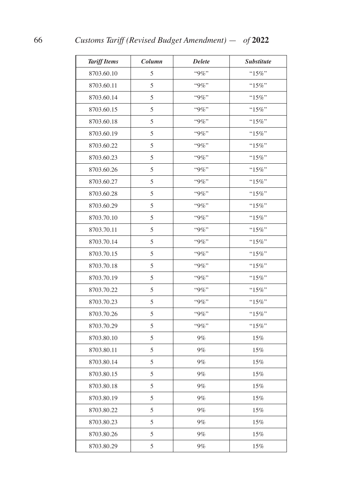| <b>Tariff Items</b> | Column | <b>Delete</b> | <b>Substitute</b> |
|---------------------|--------|---------------|-------------------|
| 8703.60.10          | 5      | $``9\%"$      | "15%"             |
| 8703.60.11          | 5      | "9%"          | "15%"             |
| 8703.60.14          | 5      | $"9\%"$       | " $15\%$ "        |
| 8703.60.15          | 5      | "9%"          | " $15\%$ "        |
| 8703.60.18          | 5      | "9%"          | " $15\%$ "        |
| 8703.60.19          | 5      | "9%"          | " $15\%$ "        |
| 8703.60.22          | 5      | "9%"          | " $15\%$ "        |
| 8703.60.23          | 5      | "9%"          | "15%"             |
| 8703.60.26          | 5      | $"9\%"$       | " $15\%$ "        |
| 8703.60.27          | 5      | "9%"          | " $15\%$ "        |
| 8703.60.28          | 5      | "9%"          | "15%"             |
| 8703.60.29          | 5      | "9%"          | " $15\%$ "        |
| 8703.70.10          | 5      | "9%"          | " $15\%$ "        |
| 8703.70.11          | 5      | "9%"          | " $15\%$ "        |
| 8703.70.14          | 5      | "9%"          | "15%"             |
| 8703.70.15          | 5      | "9%"          | " $15\%$ "        |
| 8703.70.18          | 5      | "9%"          | $"15\%"$          |
| 8703.70.19          | 5      | $``9\%"$      | "15%"             |
| 8703.70.22          | 5      | "9%"          | " $15\%$ "        |
| 8703.70.23          | 5      | "9%"          | "15%"             |
| 8703.70.26          | 5      | $"9\%"$       | "15%"             |
| 8703.70.29          | 5      | $"9\%"$       | " $15\%$ "        |
| 8703.80.10          | 5      | $9\%$         | 15%               |
| 8703.80.11          | 5      | $9\%$         | 15%               |
| 8703.80.14          | 5      | $9\%$         | 15%               |
| 8703.80.15          | 5      | 9%            | 15%               |
| 8703.80.18          | 5      | 9%            | 15%               |
| 8703.80.19          | 5      | 9%            | $15\%$            |
| 8703.80.22          | 5      | $9\%$         | $15\%$            |
| 8703.80.23          | 5      | $9\%$         | $15\%$            |
| 8703.80.26          | 5      | $9\%$         | 15%               |
| 8703.80.29          | 5      | $9\%$         | $15\%$            |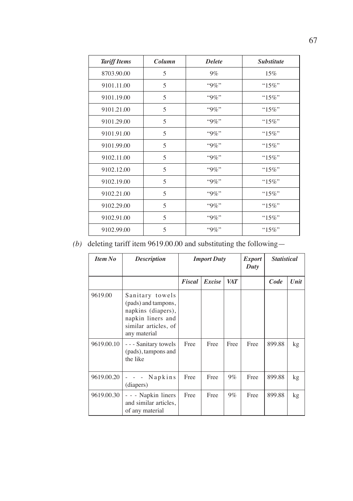| <b>Tariff Items</b> | Column | <b>Delete</b> | <i><u><b>Substitute</b></u></i> |
|---------------------|--------|---------------|---------------------------------|
| 8703.90.00          | 5      | $9\%$         | 15%                             |
| 9101.11.00          | 5      | $"9\%"$       | " $15\%$ "                      |
| 9101.19.00          | 5      | $"9\%"$       | " $15\%$ "                      |
| 9101.21.00          | 5      | $"9\%"$       | " $15\%$ "                      |
| 9101.29.00          | 5      | $"9\%"$       | " $15\%$ "                      |
| 9101.91.00          | 5      | $"9\%"$       | " $15\%$ "                      |
| 9101.99.00          | 5      | $"9\%"$       | " $15\%$ "                      |
| 9102.11.00          | 5      | $"9\%"$       | " $15\%$ "                      |
| 9102.12.00          | 5      | $"9\%"$       | " $15\%$ "                      |
| 9102.19.00          | 5      | $"9\%"$       | " $15\%$ "                      |
| 9102.21.00          | 5      | $"9\%"$       | " $15\%$ "                      |
| 9102.29.00          | 5      | "9%"          | " $15\%$ "                      |
| 9102.91.00          | 5      | $"9\%"$       | " $15\%$ "                      |
| 9102.99.00          | 5      | $"9\%"$       | " $15\%$ "                      |

# *(b)* deleting tariff item 9619.00.00 and substituting the following—

| <b>Item No</b> | <b>Description</b>                                                                                                        | <b>Import Duty</b> |        | <i>Export</i><br>Duty | <b>Statistical</b> |        |       |
|----------------|---------------------------------------------------------------------------------------------------------------------------|--------------------|--------|-----------------------|--------------------|--------|-------|
|                |                                                                                                                           | Fiscal             | Excise | <b>VAT</b>            |                    | Code   | Unit  |
| 9619.00        | Sanitary towels<br>(pads) and tampons,<br>napkins (diapers),<br>napkin liners and<br>similar articles, of<br>any material |                    |        |                       |                    |        |       |
| 9619.00.10     | - - - Sanitary towels<br>(pads), tampons and<br>the like                                                                  | Free               | Free   | Free                  | Free               | 899.88 | $k$ g |
| 9619.00.20     | Napkins<br>(diapers)                                                                                                      | Free               | Free   | $9\%$                 | Free               | 899.88 | kg    |
| 9619.00.30     | - - - Napkin liners<br>and similar articles,<br>of any material                                                           | Free               | Free   | $9\%$                 | Free               | 899.88 | kg    |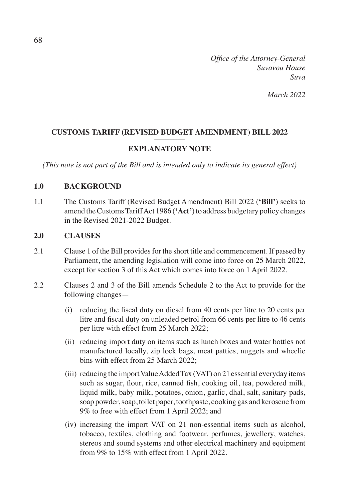*Office of the Attorney-General Suvavou House Suva*

*March 2022*

### **CUSTOMS TARIFF (REVISED BUDGET AMENDMENT) BILL 2022** ––––––––

### **EXPLANATORY NOTE**

*(This note is not part of the Bill and is intended only to indicate its general effect)*

### **1.0 BACKGROUND**

1.1 The Customs Tariff (Revised Budget Amendment) Bill 2022 (**'Bill'**) seeks to amend the Customs Tariff Act 1986 (**'Act'**) to address budgetary policy changes in the Revised 2021-2022 Budget.

#### **2.0 CLAUSES**

- 2.1 Clause 1 of the Bill provides for the short title and commencement. If passed by Parliament, the amending legislation will come into force on 25 March 2022, except for section 3 of this Act which comes into force on 1 April 2022.
- 2.2 Clauses 2 and 3 of the Bill amends Schedule 2 to the Act to provide for the following changes—
	- (i) reducing the fiscal duty on diesel from 40 cents per litre to 20 cents per litre and fiscal duty on unleaded petrol from 66 cents per litre to 46 cents per litre with effect from 25 March 2022;
	- (ii) reducing import duty on items such as lunch boxes and water bottles not manufactured locally, zip lock bags, meat patties, nuggets and wheelie bins with effect from 25 March 2022;
	- (iii) reducing the import Value Added Tax (VAT) on 21 essential everyday items such as sugar, flour, rice, canned fish, cooking oil, tea, powdered milk, liquid milk, baby milk, potatoes, onion, garlic, dhal, salt, sanitary pads, soap powder, soap, toilet paper, toothpaste, cooking gas and kerosene from 9% to free with effect from 1 April 2022; and
	- (iv) increasing the import VAT on 21 non-essential items such as alcohol, tobacco, textiles, clothing and footwear, perfumes, jewellery, watches, stereos and sound systems and other electrical machinery and equipment from 9% to 15% with effect from 1 April 2022.